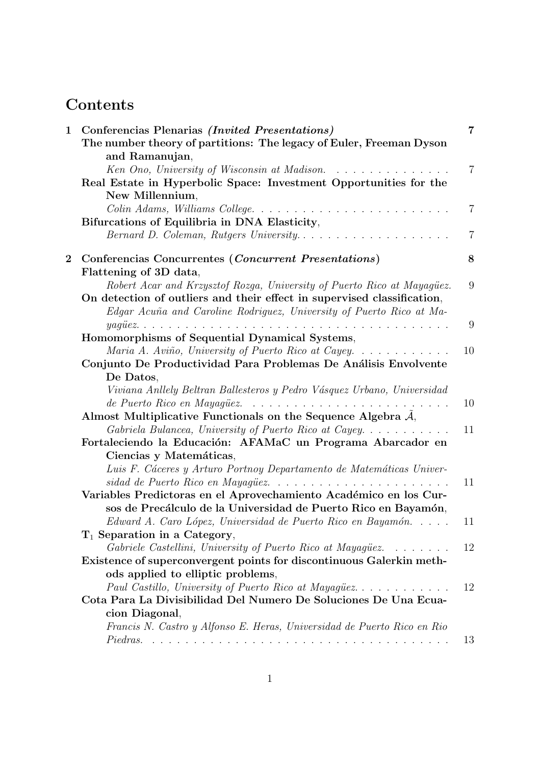# **Contents**

| $\mathbf 1$    | Conferencias Plenarias (Invited Presentations)                                                                                                                                                               | 7              |
|----------------|--------------------------------------------------------------------------------------------------------------------------------------------------------------------------------------------------------------|----------------|
|                | The number theory of partitions: The legacy of Euler, Freeman Dyson                                                                                                                                          |                |
|                | and Ramanujan,                                                                                                                                                                                               | $\overline{7}$ |
|                | Ken Ono, University of Wisconsin at Madison.                                                                                                                                                                 |                |
|                | Real Estate in Hyperbolic Space: Investment Opportunities for the<br>New Millennium,                                                                                                                         |                |
|                | Colin Adams, Williams College                                                                                                                                                                                | $\overline{7}$ |
|                | Bifurcations of Equilibria in DNA Elasticity,                                                                                                                                                                |                |
|                | Bernard D. Coleman, Rutgers University                                                                                                                                                                       | $\overline{7}$ |
|                |                                                                                                                                                                                                              |                |
| $\overline{2}$ | Conferencias Concurrentes ( <i>Concurrent Presentations</i> )                                                                                                                                                | 8              |
|                | Flattening of 3D data,                                                                                                                                                                                       |                |
|                | Robert Acar and Krzysztof Rozga, University of Puerto Rico at Mayagüez.                                                                                                                                      | 9              |
|                | On detection of outliers and their effect in supervised classification,                                                                                                                                      |                |
|                | Edgar Acuña and Caroline Rodriguez, University of Puerto Rico at Ma-                                                                                                                                         |                |
|                |                                                                                                                                                                                                              | 9              |
|                | Homomorphisms of Sequential Dynamical Systems,                                                                                                                                                               |                |
|                | Maria A. Aviño, University of Puerto Rico at Cayey                                                                                                                                                           | 10             |
|                | Conjunto De Productividad Para Problemas De Análisis Envolvente                                                                                                                                              |                |
|                | De Datos,                                                                                                                                                                                                    |                |
|                | Viviana Anllely Beltran Ballesteros y Pedro Vásquez Urbano, Universidad                                                                                                                                      |                |
|                | de Puerto Rico en Mayagüez.<br>and a complete state of the state of the state of the state                                                                                                                   | 10             |
|                | Almost Multiplicative Functionals on the Sequence Algebra $A$ ,                                                                                                                                              |                |
|                | Gabriela Bulancea, University of Puerto Rico at Cayey                                                                                                                                                        | 11             |
|                | Fortaleciendo la Educación: AFAMaC un Programa Abarcador en                                                                                                                                                  |                |
|                | Ciencias y Matemáticas,                                                                                                                                                                                      |                |
|                | Luis F. Cáceres y Arturo Portnoy Departamento de Matemáticas Univer-                                                                                                                                         |                |
|                | sidad de Puerto Rico en Mayagüez                                                                                                                                                                             | 11             |
|                | Variables Predictoras en el Aprovechamiento Académico en los Cur-                                                                                                                                            |                |
|                | sos de Precálculo de la Universidad de Puerto Rico en Bayamón,                                                                                                                                               |                |
|                | Edward A. Caro López, Universidad de Puerto Rico en Bayamón                                                                                                                                                  | 11             |
|                | $T_1$ Separation in a Category,                                                                                                                                                                              | 12             |
|                | Gabriele Castellini, University of Puerto Rico at Mayagüez.<br>$\mathbf{1}$ , and $\mathbf{1}$ , and $\mathbf{1}$ , and $\mathbf{1}$<br>Existence of superconvergent points for discontinuous Galerkin meth- |                |
|                | ods applied to elliptic problems,                                                                                                                                                                            |                |
|                | Paul Castillo, University of Puerto Rico at Mayagüez                                                                                                                                                         | 12             |
|                | Cota Para La Divisibilidad Del Numero De Soluciones De Una Ecua-                                                                                                                                             |                |
|                | cion Diagonal,                                                                                                                                                                                               |                |
|                | Francis N. Castro y Alfonso E. Heras, Universidad de Puerto Rico en Rio                                                                                                                                      |                |
|                |                                                                                                                                                                                                              | 13             |
|                |                                                                                                                                                                                                              |                |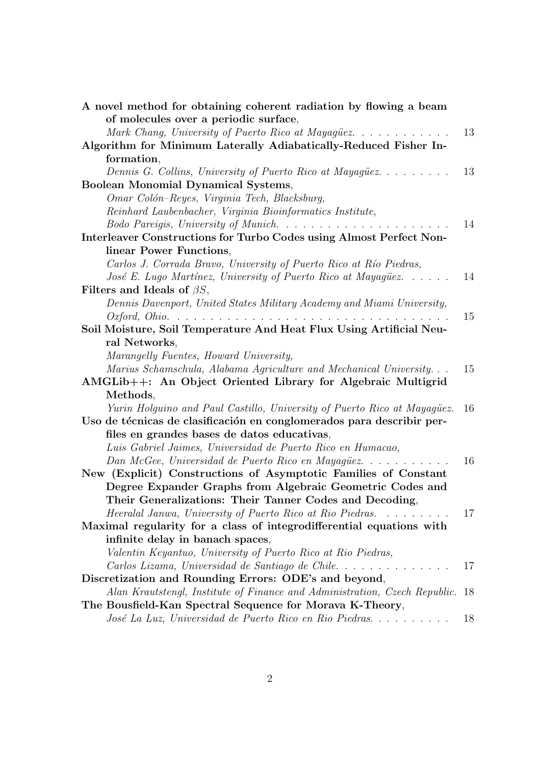| A novel method for obtaining coherent radiation by flowing a beam          |    |
|----------------------------------------------------------------------------|----|
| of molecules over a periodic surface,                                      |    |
| Mark Chang, University of Puerto Rico at Mayagüez                          | 13 |
| Algorithm for Minimum Laterally Adiabatically-Reduced Fisher In-           |    |
| formation,                                                                 |    |
| Dennis G. Collins, University of Puerto Rico at Mayagüez                   | 13 |
| Boolean Monomial Dynamical Systems,                                        |    |
| Omar Colón-Reyes, Virginia Tech, Blacksburg,                               |    |
| Reinhard Laubenbacher, Virginia Bioinformatics Institute,                  |    |
| Bodo Pareigis, University of Munich                                        | 14 |
| Interleaver Constructions for Turbo Codes using Almost Perfect Non-        |    |
| linear Power Functions,                                                    |    |
| Carlos J. Corrada Bravo, University of Puerto Rico at Río Piedras,         |    |
| José E. Lugo Martínez, University of Puerto Rico at Mayagüez               | 14 |
| Filters and Ideals of $\beta S$ ,                                          |    |
| Dennis Davenport, United States Military Academy and Miami University,     |    |
|                                                                            | 15 |
| Soil Moisture, Soil Temperature And Heat Flux Using Artificial Neu-        |    |
| ral Networks,                                                              |    |
| Marangelly Fuentes, Howard University,                                     |    |
| Marius Schamschula, Alabama Agriculture and Mechanical University          | 15 |
| AMGLib++: An Object Oriented Library for Algebraic Multigrid               |    |
| Methods,                                                                   |    |
| Yurin Holguino and Paul Castillo, University of Puerto Rico at Mayagüez.   | 16 |
| Uso de técnicas de clasificación en conglomerados para describir per-      |    |
| files en grandes bases de datos educativas,                                |    |
| Luis Gabriel Jaimes, Universidad de Puerto Rico en Humacao,                |    |
| Dan McGee, Universidad de Puerto Rico en Mayagüez                          | 16 |
| New (Explicit) Constructions of Asymptotic Families of Constant            |    |
| Degree Expander Graphs from Algebraic Geometric Codes and                  |    |
| Their Generalizations: Their Tanner Codes and Decoding,                    |    |
| Heeralal Janwa, University of Puerto Rico at Rio Piedras.                  | 17 |
| Maximal regularity for a class of integrodifferential equations with       |    |
| infinite delay in banach spaces,                                           |    |
| Valentin Keyantuo, University of Puerto Rico at Rio Piedras,               |    |
| Carlos Lizama, Universidad de Santiago de Chile                            | 17 |
| Discretization and Rounding Errors: ODE's and beyond,                      |    |
| Alan Krautstengl, Institute of Finance and Administration, Czech Republic. | 18 |
| The Bousfield-Kan Spectral Sequence for Morava K-Theory,                   |    |
| José La Luz, Universidad de Puerto Rico en Rio Piedras                     | 18 |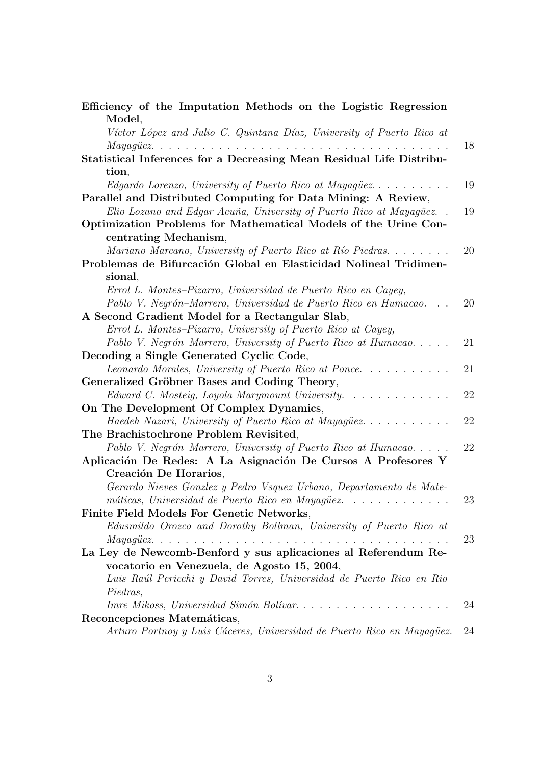| Efficiency of the Imputation Methods on the Logistic Regression                                               |    |
|---------------------------------------------------------------------------------------------------------------|----|
| Model,                                                                                                        |    |
| Víctor López and Julio C. Quintana Díaz, University of Puerto Rico at                                         |    |
|                                                                                                               | 18 |
| Statistical Inferences for a Decreasing Mean Residual Life Distribu-                                          |    |
| tion,                                                                                                         |    |
| <i>Edgardo Lorenzo, University of Puerto Rico at Mayagüez.</i> $\ldots$                                       | 19 |
| Parallel and Distributed Computing for Data Mining: A Review,                                                 |    |
| Elio Lozano and Edgar Acuña, University of Puerto Rico at Mayaquez                                            | 19 |
| Optimization Problems for Mathematical Models of the Urine Con-                                               |    |
| centrating Mechanism,                                                                                         |    |
| Mariano Marcano, University of Puerto Rico at Río Piedras                                                     | 20 |
| Problemas de Bifurcación Global en Elasticidad Nolineal Tridimen-                                             |    |
| sional,                                                                                                       |    |
| Errol L. Montes-Pizarro, Universidad de Puerto Rico en Cayey,                                                 |    |
| Pablo V. Negrón-Marrero, Universidad de Puerto Rico en Humacao.                                               | 20 |
| A Second Gradient Model for a Rectangular Slab,                                                               |    |
| Errol L. Montes-Pizarro, University of Puerto Rico at Cayey,                                                  |    |
| Pablo V. Negrón-Marrero, University of Puerto Rico at Humacao                                                 | 21 |
| Decoding a Single Generated Cyclic Code,                                                                      |    |
| Leonardo Morales, University of Puerto Rico at Ponce                                                          | 21 |
| Generalized Gröbner Bases and Coding Theory,                                                                  |    |
| Edward C. Mosteig, Loyola Marymount University.                                                               | 22 |
| On The Development Of Complex Dynamics,                                                                       |    |
| Haedeh Nazari, University of Puerto Rico at Mayagüez                                                          | 22 |
| The Brachistochrone Problem Revisited,                                                                        |    |
| Pablo V. Negrón-Marrero, University of Puerto Rico at Humacao                                                 | 22 |
| Aplicación De Redes: A La Asignación De Cursos A Profesores Y                                                 |    |
| Creación De Horarios,                                                                                         |    |
| Gerardo Nieves Gonzlez y Pedro Vsquez Urbano, Departamento de Mate-                                           |    |
| máticas, Universidad de Puerto Rico en Mayagüez                                                               | 23 |
| Finite Field Models For Genetic Networks,                                                                     |    |
| Edusmildo Orozco and Dorothy Bollman, University of Puerto Rico at                                            |    |
| $\textit{Maya} \textit{g} \textit{ü} \textit{ez}.$                                                            | 23 |
| La Ley de Newcomb-Benford y sus aplicaciones al Referendum Re-<br>vocatorio en Venezuela, de Agosto 15, 2004, |    |
| Luis Raúl Pericchi y David Torres, Universidad de Puerto Rico en Rio                                          |    |
| Piedras,                                                                                                      |    |
| Imre Mikoss, Universidad Simón Bolívar                                                                        | 24 |
| Reconcepciones Matemáticas,                                                                                   |    |
| Arturo Portnoy y Luis Cáceres, Universidad de Puerto Rico en Mayagüez.                                        | 24 |
|                                                                                                               |    |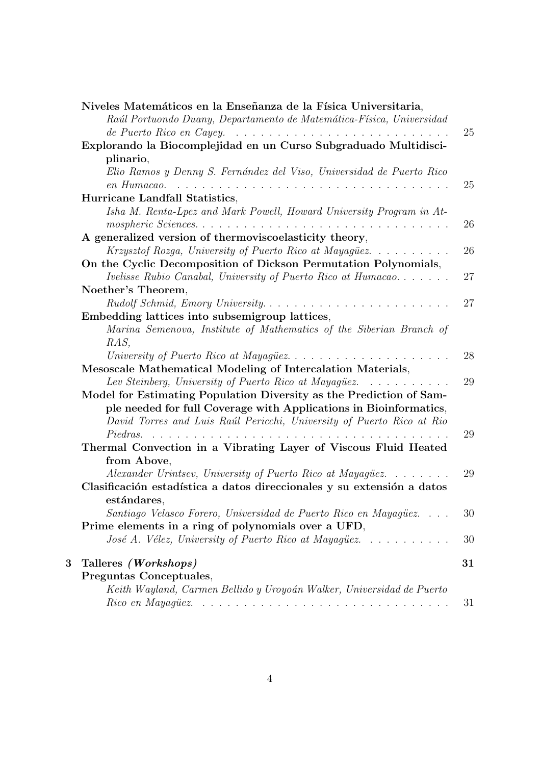|   | Niveles Matemáticos en la Enseñanza de la Física Universitaria,                                                               |    |
|---|-------------------------------------------------------------------------------------------------------------------------------|----|
|   | Raúl Portuondo Duany, Departamento de Matemática-Física, Universidad                                                          |    |
|   |                                                                                                                               | 25 |
|   | Explorando la Biocomplejidad en un Curso Subgraduado Multidisci-                                                              |    |
|   | plinario,                                                                                                                     |    |
|   | Elio Ramos y Denny S. Fernández del Viso, Universidad de Puerto Rico                                                          |    |
|   | $en$ Humacao. $\ldots \ldots \ldots \ldots \ldots \ldots \ldots \ldots \ldots \ldots$                                         | 25 |
|   | Hurricane Landfall Statistics,                                                                                                |    |
|   | Isha M. Renta-Lpez and Mark Powell, Howard University Program in At-                                                          |    |
|   |                                                                                                                               | 26 |
|   | A generalized version of thermoviscoelasticity theory,                                                                        |    |
|   | Krzysztof Rozga, University of Puerto Rico at Mayagüez.<br>$\mathcal{A}$ . The set of the set of the set of the $\mathcal{A}$ | 26 |
|   | On the Cyclic Decomposition of Dickson Permutation Polynomials,                                                               |    |
|   | <i>Ivelisse Rubio Canabal, University of Puerto Rico at Humacao</i>                                                           | 27 |
|   | Noether's Theorem,                                                                                                            |    |
|   | Rudolf Schmid, Emory University                                                                                               | 27 |
|   | Embedding lattices into subsemigroup lattices,                                                                                |    |
|   | Marina Semenova, Institute of Mathematics of the Siberian Branch of                                                           |    |
|   | RAS,                                                                                                                          |    |
|   | University of Puerto Rico at Mayagüez                                                                                         | 28 |
|   | Mesoscale Mathematical Modeling of Intercalation Materials,                                                                   |    |
|   | Lev Steinberg, University of Puerto Rico at Mayagüez. $\ldots \ldots \ldots$                                                  | 29 |
|   | Model for Estimating Population Diversity as the Prediction of Sam-                                                           |    |
|   | ple needed for full Coverage with Applications in Bioinformatics,                                                             |    |
|   | David Torres and Luis Raúl Pericchi, University of Puerto Rico at Rio                                                         |    |
|   | Piedras.                                                                                                                      | 29 |
|   | Thermal Convection in a Vibrating Layer of Viscous Fluid Heated                                                               |    |
|   | from Above,                                                                                                                   |    |
|   | Alexander Urintsev, University of Puerto Rico at Mayagüez                                                                     | 29 |
|   | Clasificación estadística a datos direccionales y su extensión a datos                                                        |    |
|   | estándares,                                                                                                                   |    |
|   | Santiago Velasco Forero, Universidad de Puerto Rico en Mayagüez                                                               | 30 |
|   | Prime elements in a ring of polynomials over a UFD,<br>José A. Vélez, University of Puerto Rico at Mayaquez                   | 30 |
|   |                                                                                                                               |    |
| 3 | Talleres (Workshops)                                                                                                          | 31 |
|   | Preguntas Conceptuales,                                                                                                       |    |
|   | Keith Wayland, Carmen Bellido y Uroyoán Walker, Universidad de Puerto                                                         |    |
|   |                                                                                                                               | 31 |
|   |                                                                                                                               |    |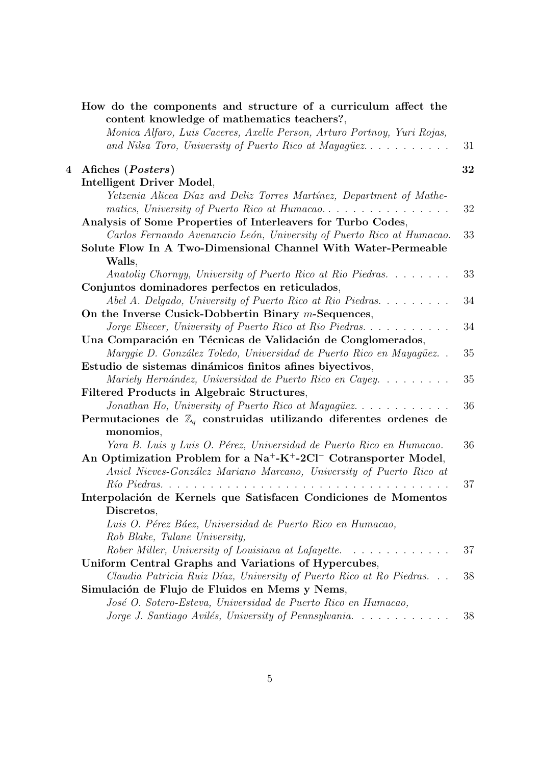|                | How do the components and structure of a curriculum affect the<br>content knowledge of mathematics teachers?,                    |    |
|----------------|----------------------------------------------------------------------------------------------------------------------------------|----|
|                | Monica Alfaro, Luis Caceres, Axelle Person, Arturo Portnoy, Yuri Rojas,<br>and Nilsa Toro, University of Puerto Rico at Mayagüez | 31 |
| $\overline{4}$ | Afiches ( <i>Posters</i> )                                                                                                       | 32 |
|                | Intelligent Driver Model,                                                                                                        |    |
|                | Yetzenia Alicea Díaz and Deliz Torres Martínez, Department of Mathe-                                                             | 32 |
|                | Analysis of Some Properties of Interleavers for Turbo Codes,                                                                     |    |
|                | Carlos Fernando Avenancio León, University of Puerto Rico at Humacao.                                                            | 33 |
|                | Solute Flow In A Two-Dimensional Channel With Water-Permeable                                                                    |    |
|                | Walls,                                                                                                                           |    |
|                | Anatoliy Chornyy, University of Puerto Rico at Rio Piedras.                                                                      | 33 |
|                | Conjuntos dominadores perfectos en reticulados,                                                                                  |    |
|                | Abel A. Delgado, University of Puerto Rico at Rio Piedras                                                                        | 34 |
|                | On the Inverse Cusick-Dobbertin Binary $m$ -Sequences,                                                                           |    |
|                | Jorge Eliecer, University of Puerto Rico at Rio Piedras                                                                          | 34 |
|                | Una Comparación en Técnicas de Validación de Conglomerados,                                                                      |    |
|                | Marggie D. González Toledo, Universidad de Puerto Rico en Mayagüez                                                               | 35 |
|                | Estudio de sistemas dinámicos finitos afines biyectivos,                                                                         |    |
|                | Mariely Hernández, Universidad de Puerto Rico en Cayey                                                                           | 35 |
|                | Filtered Products in Algebraic Structures,                                                                                       |    |
|                | Jonathan Ho, University of Puerto Rico at Mayagüez                                                                               | 36 |
|                | Permutaciones de $\mathbb{Z}_q$ construidas utilizando diferentes ordenes de<br>monomios,                                        |    |
|                | Yara B. Luis y Luis O. Pérez, Universidad de Puerto Rico en Humacao.                                                             | 36 |
|                | An Optimization Problem for a $Na^+ - K^+ - 2Cl^-$ Cotransporter Model,                                                          |    |
|                | Aniel Nieves-González Mariano Marcano, University of Puerto Rico at                                                              |    |
|                |                                                                                                                                  | 37 |
|                | Interpolación de Kernels que Satisfacen Condiciones de Momentos                                                                  |    |
|                | Discretos,                                                                                                                       |    |
|                | Luis O. Pérez Báez, Universidad de Puerto Rico en Humacao,                                                                       |    |
|                | Rob Blake, Tulane University,                                                                                                    |    |
|                | Rober Miller, University of Louisiana at Lafayette.                                                                              | 37 |
|                | Uniform Central Graphs and Variations of Hypercubes,                                                                             |    |
|                | Claudia Patricia Ruiz Díaz, University of Puerto Rico at Ro Piedras                                                              | 38 |
|                | Simulación de Flujo de Fluidos en Mems y Nems,                                                                                   |    |
|                | José O. Sotero-Esteva, Universidad de Puerto Rico en Humacao,                                                                    |    |
|                | Jorge J. Santiago Avilés, University of Pennsylvania                                                                             | 38 |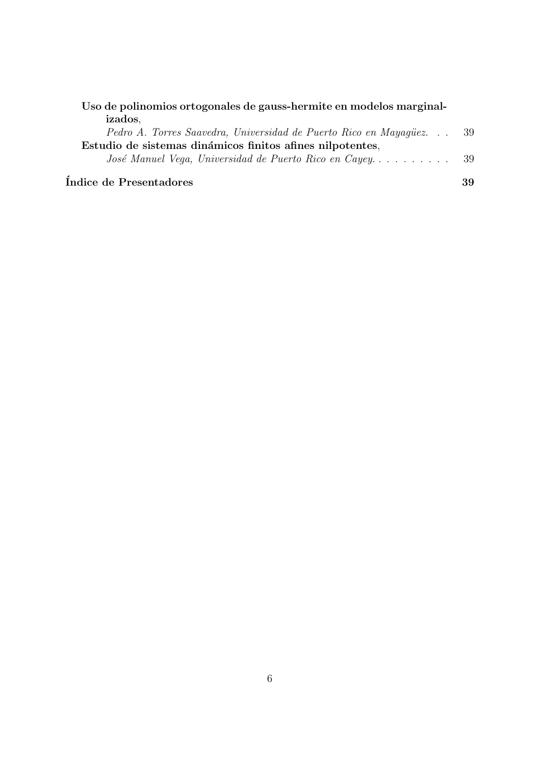| Uso de polinomios ortogonales de gauss-hermite en modelos marginal- |  |  |
|---------------------------------------------------------------------|--|--|
| izados.                                                             |  |  |

| Pedro A. Torres Saavedra, Universidad de Puerto Rico en Mayaqüez | 39  |
|------------------------------------------------------------------|-----|
| Estudio de sistemas dinámicos finitos afines nilpotentes,        |     |
|                                                                  | -39 |

 $\sqrt{10}$ indice de Presentadores  $39$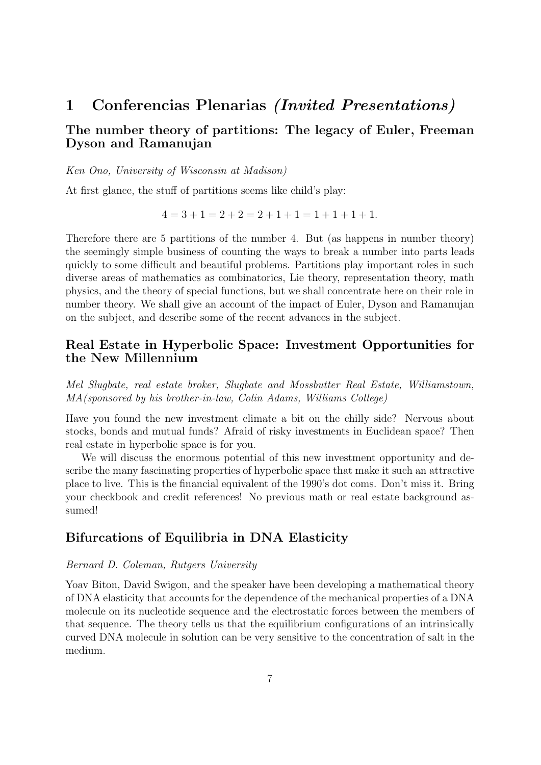## 1 Conferencias Plenarias (Invited Presentations)

## The number theory of partitions: The legacy of Euler, Freeman Dyson and Ramanujan

Ken Ono, University of Wisconsin at Madison)

At first glance, the stuff of partitions seems like child's play:

$$
4 = 3 + 1 = 2 + 2 = 2 + 1 + 1 = 1 + 1 + 1 + 1.
$$

Therefore there are 5 partitions of the number 4. But (as happens in number theory) the seemingly simple business of counting the ways to break a number into parts leads quickly to some difficult and beautiful problems. Partitions play important roles in such diverse areas of mathematics as combinatorics, Lie theory, representation theory, math physics, and the theory of special functions, but we shall concentrate here on their role in number theory. We shall give an account of the impact of Euler, Dyson and Ramanujan on the subject, and describe some of the recent advances in the subject.

## Real Estate in Hyperbolic Space: Investment Opportunities for the New Millennium

Mel Slugbate, real estate broker, Slugbate and Mossbutter Real Estate, Williamstown, MA(sponsored by his brother-in-law, Colin Adams, Williams College)

Have you found the new investment climate a bit on the chilly side? Nervous about stocks, bonds and mutual funds? Afraid of risky investments in Euclidean space? Then real estate in hyperbolic space is for you.

We will discuss the enormous potential of this new investment opportunity and describe the many fascinating properties of hyperbolic space that make it such an attractive place to live. This is the financial equivalent of the 1990's dot coms. Don't miss it. Bring your checkbook and credit references! No previous math or real estate background assumed!

## Bifurcations of Equilibria in DNA Elasticity

#### Bernard D. Coleman, Rutgers University

Yoav Biton, David Swigon, and the speaker have been developing a mathematical theory of DNA elasticity that accounts for the dependence of the mechanical properties of a DNA molecule on its nucleotide sequence and the electrostatic forces between the members of that sequence. The theory tells us that the equilibrium configurations of an intrinsically curved DNA molecule in solution can be very sensitive to the concentration of salt in the medium.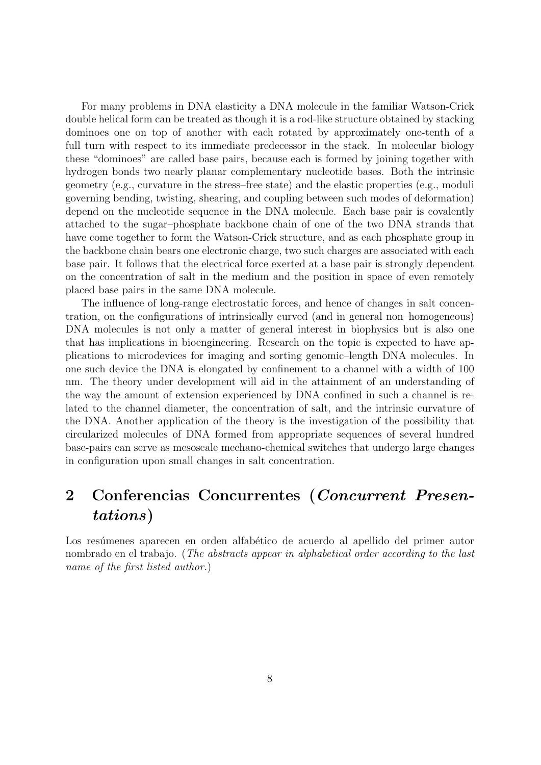For many problems in DNA elasticity a DNA molecule in the familiar Watson-Crick double helical form can be treated as though it is a rod-like structure obtained by stacking dominoes one on top of another with each rotated by approximately one-tenth of a full turn with respect to its immediate predecessor in the stack. In molecular biology these "dominoes" are called base pairs, because each is formed by joining together with hydrogen bonds two nearly planar complementary nucleotide bases. Both the intrinsic geometry (e.g., curvature in the stress–free state) and the elastic properties (e.g., moduli governing bending, twisting, shearing, and coupling between such modes of deformation) depend on the nucleotide sequence in the DNA molecule. Each base pair is covalently attached to the sugar–phosphate backbone chain of one of the two DNA strands that have come together to form the Watson-Crick structure, and as each phosphate group in the backbone chain bears one electronic charge, two such charges are associated with each base pair. It follows that the electrical force exerted at a base pair is strongly dependent on the concentration of salt in the medium and the position in space of even remotely placed base pairs in the same DNA molecule.

The influence of long-range electrostatic forces, and hence of changes in salt concentration, on the configurations of intrinsically curved (and in general non–homogeneous) DNA molecules is not only a matter of general interest in biophysics but is also one that has implications in bioengineering. Research on the topic is expected to have applications to microdevices for imaging and sorting genomic–length DNA molecules. In one such device the DNA is elongated by confinement to a channel with a width of 100 nm. The theory under development will aid in the attainment of an understanding of the way the amount of extension experienced by DNA confined in such a channel is related to the channel diameter, the concentration of salt, and the intrinsic curvature of the DNA. Another application of the theory is the investigation of the possibility that circularized molecules of DNA formed from appropriate sequences of several hundred base-pairs can serve as mesoscale mechano-chemical switches that undergo large changes in configuration upon small changes in salt concentration.

# 2 Conferencias Concurrentes (Concurrent Presentations)

Los resúmenes aparecen en orden alfabético de acuerdo al apellido del primer autor nombrado en el trabajo. (*The abstracts appear in alphabetical order according to the last* name of the first listed author.)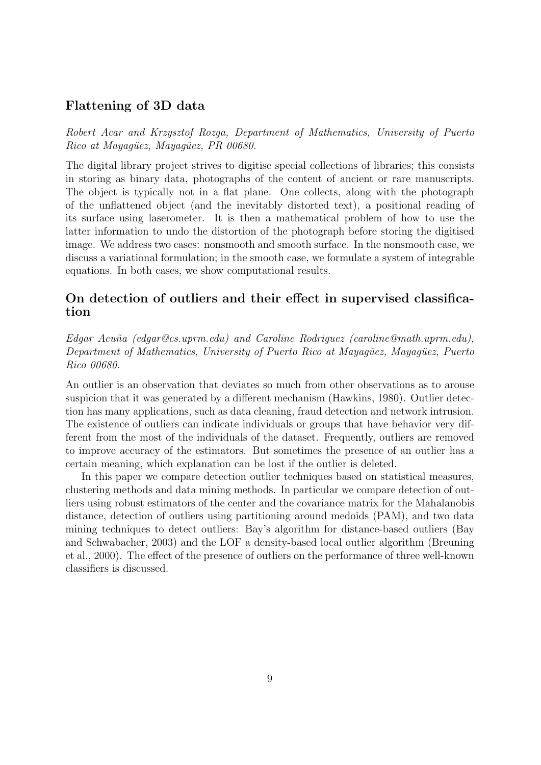## Flattening of 3D data

Robert Acar and Krzysztof Rozga, Department of Mathematics, University of Puerto Rico at Mayagüez, Mayagüez, PR 00680.

The digital library project strives to digitise special collections of libraries; this consists in storing as binary data, photographs of the content of ancient or rare manuscripts. The object is typically not in a flat plane. One collects, along with the photograph of the unflattened object (and the inevitably distorted text), a positional reading of its surface using laserometer. It is then a mathematical problem of how to use the latter information to undo the distortion of the photograph before storing the digitised image. We address two cases: nonsmooth and smooth surface. In the nonsmooth case, we discuss a variational formulation; in the smooth case, we formulate a system of integrable equations. In both cases, we show computational results.

## On detection of outliers and their effect in supervised classification

 $Edgar Acuña$  (edgar@cs.uprm.edu) and Caroline Rodriguez (caroline@math.uprm.edu), Department of Mathematics, University of Puerto Rico at Mayagüez, Mayagüez, Puerto Rico 00680.

An outlier is an observation that deviates so much from other observations as to arouse suspicion that it was generated by a different mechanism (Hawkins, 1980). Outlier detection has many applications, such as data cleaning, fraud detection and network intrusion. The existence of outliers can indicate individuals or groups that have behavior very different from the most of the individuals of the dataset. Frequently, outliers are removed to improve accuracy of the estimators. But sometimes the presence of an outlier has a certain meaning, which explanation can be lost if the outlier is deleted.

In this paper we compare detection outlier techniques based on statistical measures, clustering methods and data mining methods. In particular we compare detection of outliers using robust estimators of the center and the covariance matrix for the Mahalanobis distance, detection of outliers using partitioning around medoids (PAM), and two data mining techniques to detect outliers: Bay's algorithm for distance-based outliers (Bay and Schwabacher, 2003) and the LOF a density-based local outlier algorithm (Breuning et al., 2000). The effect of the presence of outliers on the performance of three well-known classifiers is discussed.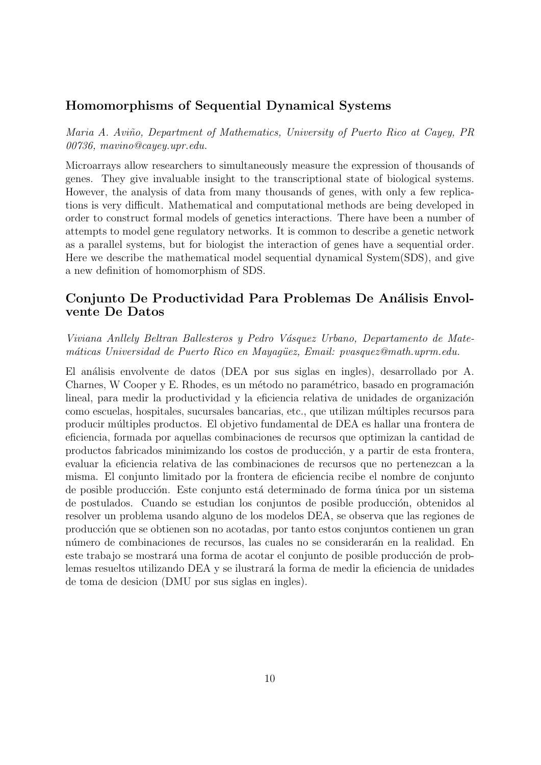### Homomorphisms of Sequential Dynamical Systems

Maria A. Aviño, Department of Mathematics, University of Puerto Rico at Cayey, PR 00736, mavino@cayey.upr.edu.

Microarrays allow researchers to simultaneously measure the expression of thousands of genes. They give invaluable insight to the transcriptional state of biological systems. However, the analysis of data from many thousands of genes, with only a few replications is very difficult. Mathematical and computational methods are being developed in order to construct formal models of genetics interactions. There have been a number of attempts to model gene regulatory networks. It is common to describe a genetic network as a parallel systems, but for biologist the interaction of genes have a sequential order. Here we describe the mathematical model sequential dynamical System(SDS), and give a new definition of homomorphism of SDS.

## Conjunto De Productividad Para Problemas De Análisis Envolvente De Datos

Viviana Anllely Beltran Ballesteros y Pedro Vásquez Urbano, Departamento de Matemáticas Universidad de Puerto Rico en Mayagüez, Email: pvasquez@math.uprm.edu.

El análisis envolvente de datos (DEA por sus siglas en ingles), desarrollado por A. Charnes, W Cooper y E. Rhodes, es un método no paramétrico, basado en programación lineal, para medir la productividad y la eficiencia relativa de unidades de organización como escuelas, hospitales, sucursales bancarias, etc., que utilizan múltiples recursos para producir m´ultiples productos. El objetivo fundamental de DEA es hallar una frontera de eficiencia, formada por aquellas combinaciones de recursos que optimizan la cantidad de productos fabricados minimizando los costos de producción, y a partir de esta frontera, evaluar la eficiencia relativa de las combinaciones de recursos que no pertenezcan a la misma. El conjunto limitado por la frontera de eficiencia recibe el nombre de conjunto de posible producción. Este conjunto está determinado de forma única por un sistema de postulados. Cuando se estudian los conjuntos de posible producción, obtenidos al resolver un problema usando alguno de los modelos DEA, se observa que las regiones de producci´on que se obtienen son no acotadas, por tanto estos conjuntos contienen un gran número de combinaciones de recursos, las cuales no se considerarán en la realidad. En este trabajo se mostrará una forma de acotar el conjunto de posible producción de problemas resueltos utilizando DEA y se ilustrará la forma de medir la eficiencia de unidades de toma de desicion (DMU por sus siglas en ingles).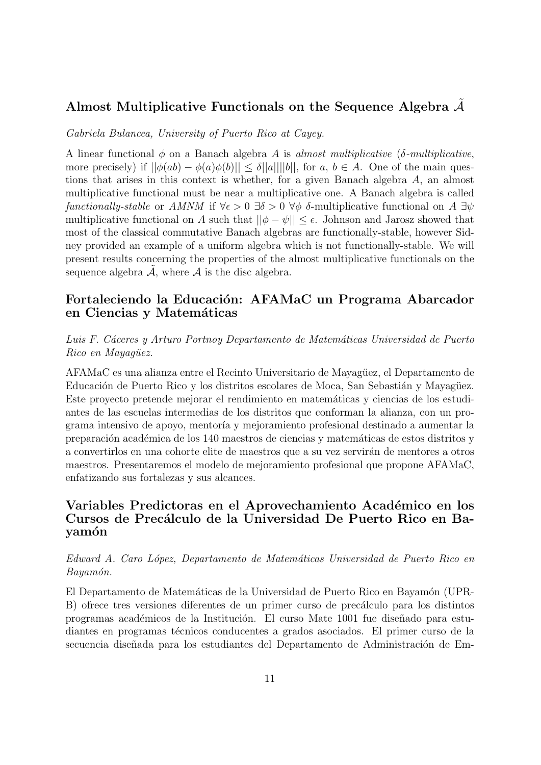## Almost Multiplicative Functionals on the Sequence Algebra  $A$

Gabriela Bulancea, University of Puerto Rico at Cayey.

A linear functional  $\phi$  on a Banach algebra A is almost multiplicative (δ-multiplicative, more precisely) if  $||\phi(ab) - \phi(a)\phi(b)|| \leq \delta ||a|| ||b||$ , for a,  $b \in A$ . One of the main questions that arises in this context is whether, for a given Banach algebra A, an almost multiplicative functional must be near a multiplicative one. A Banach algebra is called functionally-stable or AMNM if  $\forall \epsilon > 0$   $\exists \delta > 0$   $\forall \phi$  δ-multiplicative functional on A  $\exists \psi$ multiplicative functional on A such that  $||\phi - \psi|| \leq \epsilon$ . Johnson and Jarosz showed that most of the classical commutative Banach algebras are functionally-stable, however Sidney provided an example of a uniform algebra which is not functionally-stable. We will present results concerning the properties of the almost multiplicative functionals on the sequence algebra  $A$ , where  $A$  is the disc algebra.

## Fortaleciendo la Educación: AFAMaC un Programa Abarcador en Ciencias y Matemáticas

Luis F. Cáceres y Arturo Portnoy Departamento de Matemáticas Universidad de Puerto Rico en Mayaqüez.

AFAMaC es una alianza entre el Recinto Universitario de Mayagüez, el Departamento de Educación de Puerto Rico y los distritos escolares de Moca, San Sebastián y Mayagüez. Este proyecto pretende mejorar el rendimiento en matemáticas y ciencias de los estudiantes de las escuelas intermedias de los distritos que conforman la alianza, con un programa intensivo de apoyo, mentoría y mejoramiento profesional destinado a aumentar la preparación académica de los 140 maestros de ciencias y matemáticas de estos distritos y a convertirlos en una cohorte elite de maestros que a su vez servirán de mentores a otros maestros. Presentaremos el modelo de mejoramiento profesional que propone AFAMaC, enfatizando sus fortalezas y sus alcances.

## Variables Predictoras en el Aprovechamiento Académico en los Cursos de Precálculo de la Universidad De Puerto Rico en Bayamón

#### Edward A. Caro L´opez, Departamento de Matem´aticas Universidad de Puerto Rico en Bayamón.

El Departamento de Matemáticas de la Universidad de Puerto Rico en Bayamón (UPR-B) ofrece tres versiones diferentes de un primer curso de precálculo para los distintos programas académicos de la Institución. El curso Mate 1001 fue diseñado para estudiantes en programas técnicos conducentes a grados asociados. El primer curso de la secuencia diseñada para los estudiantes del Departamento de Administración de Em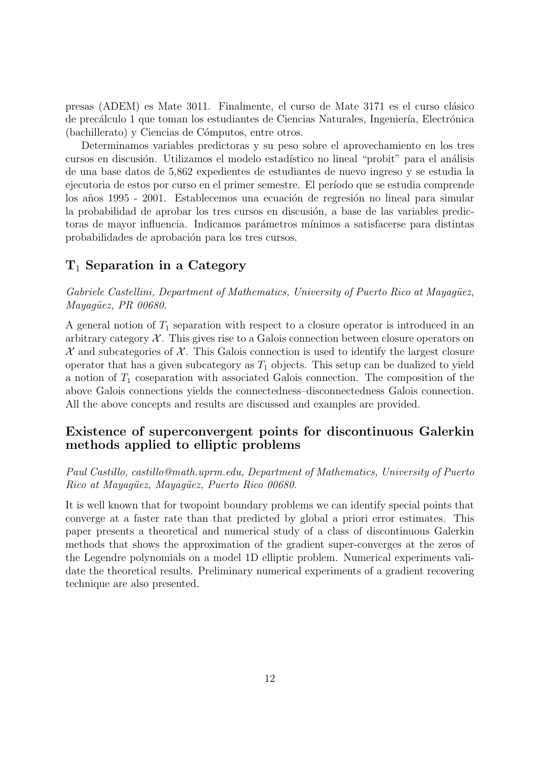presas (ADEM) es Mate 3011. Finalmente, el curso de Mate 3171 es el curso cl´asico de precálculo 1 que toman los estudiantes de Ciencias Naturales, Ingeniería, Electrónica (bachillerato) y Ciencias de Cómputos, entre otros.

Determinamos variables predictoras y su peso sobre el aprovechamiento en los tres cursos en discusión. Utilizamos el modelo estadístico no lineal "probit" para el análisis de una base datos de 5,862 expedientes de estudiantes de nuevo ingreso y se estudia la ejecutoria de estos por curso en el primer semestre. El período que se estudia comprende los años 1995 - 2001. Establecemos una ecuación de regresión no lineal para simular la probabilidad de aprobar los tres cursos en discusión, a base de las variables predictoras de mayor influencia. Indicamos par´ametros m´ınimos a satisfacerse para distintas probabilidades de aprobación para los tres cursos.

## $T_1$  Separation in a Category

Gabriele Castellini, Department of Mathematics, University of Puerto Rico at Mayagüez,  $May a queez, PR\ 00680.$ 

A general notion of  $T_1$  separation with respect to a closure operator is introduced in an arbitrary category  $\mathcal{X}$ . This gives rise to a Galois connection between closure operators on  $\mathcal X$  and subcategories of  $\mathcal X$ . This Galois connection is used to identify the largest closure operator that has a given subcategory as  $T_1$  objects. This setup can be dualized to yield a notion of  $T_1$  coseparation with associated Galois connection. The composition of the above Galois connections yields the connectedness–disconnectedness Galois connection. All the above concepts and results are discussed and examples are provided.

## Existence of superconvergent points for discontinuous Galerkin methods applied to elliptic problems

Paul Castillo, castillo@math.uprm.edu, Department of Mathematics, University of Puerto Rico at Mayaqüez, Mayaqüez, Puerto Rico 00680.

It is well known that for twopoint boundary problems we can identify special points that converge at a faster rate than that predicted by global a priori error estimates. This paper presents a theoretical and numerical study of a class of discontinuous Galerkin methods that shows the approximation of the gradient super-converges at the zeros of the Legendre polynomials on a model 1D elliptic problem. Numerical experiments validate the theoretical results. Preliminary numerical experiments of a gradient recovering technique are also presented.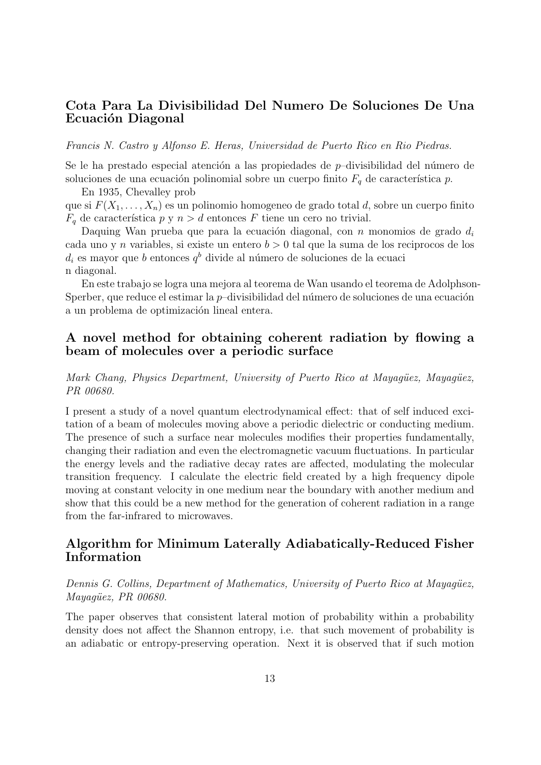## Cota Para La Divisibilidad Del Numero De Soluciones De Una Ecuación Diagonal

#### Francis N. Castro y Alfonso E. Heras, Universidad de Puerto Rico en Rio Piedras.

Se le ha prestado especial atención a las propiedades de  $p$ -divisibilidad del número de soluciones de una ecuación polinomial sobre un cuerpo finito  $F_q$  de característica p.

En 1935, Chevalley prob

que si  $F(X_1, \ldots, X_n)$  es un polinomio homogeneo de grado total d, sobre un cuerpo finito  $F_q$  de característica p y  $n > d$  entonces F tiene un cero no trivial.

Daquing Wan prueba que para la ecuación diagonal, con n monomios de grado  $d_i$ cada uno y n variables, si existe un entero  $b > 0$  tal que la suma de los reciprocos de los  $d_i$  es mayor que b entonces  $q^b$  divide al número de soluciones de la ecuaci n diagonal.

En este trabajo se logra una mejora al teorema de Wan usando el teorema de Adolphson-Sperber, que reduce el estimar la  $p$ –divisibilidad del número de soluciones de una ecuación a un problema de optimización lineal entera.

### A novel method for obtaining coherent radiation by flowing a beam of molecules over a periodic surface

Mark Chang, Physics Department, University of Puerto Rico at Mayagüez, Mayagüez, PR 00680.

I present a study of a novel quantum electrodynamical effect: that of self induced excitation of a beam of molecules moving above a periodic dielectric or conducting medium. The presence of such a surface near molecules modifies their properties fundamentally, changing their radiation and even the electromagnetic vacuum fluctuations. In particular the energy levels and the radiative decay rates are affected, modulating the molecular transition frequency. I calculate the electric field created by a high frequency dipole moving at constant velocity in one medium near the boundary with another medium and show that this could be a new method for the generation of coherent radiation in a range from the far-infrared to microwaves.

## Algorithm for Minimum Laterally Adiabatically-Reduced Fisher Information

#### Dennis G. Collins, Department of Mathematics, University of Puerto Rico at Mayagüez, Mayagüez, PR 00680.

The paper observes that consistent lateral motion of probability within a probability density does not affect the Shannon entropy, i.e. that such movement of probability is an adiabatic or entropy-preserving operation. Next it is observed that if such motion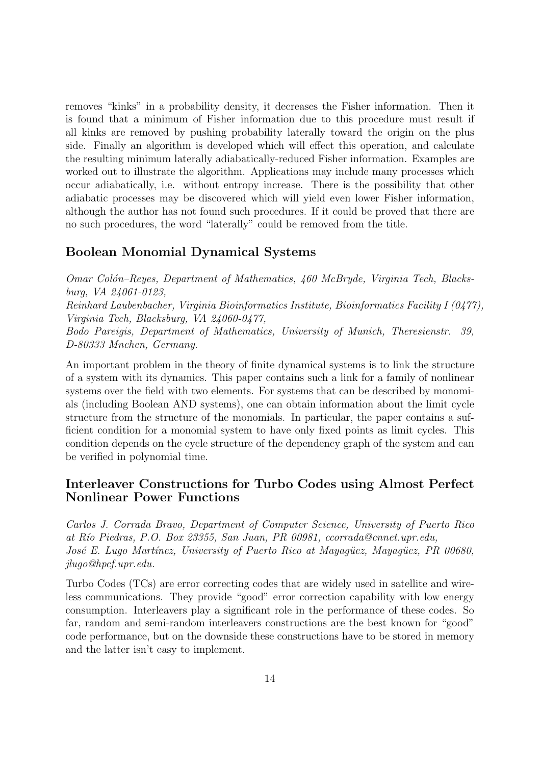removes "kinks" in a probability density, it decreases the Fisher information. Then it is found that a minimum of Fisher information due to this procedure must result if all kinks are removed by pushing probability laterally toward the origin on the plus side. Finally an algorithm is developed which will effect this operation, and calculate the resulting minimum laterally adiabatically-reduced Fisher information. Examples are worked out to illustrate the algorithm. Applications may include many processes which occur adiabatically, i.e. without entropy increase. There is the possibility that other adiabatic processes may be discovered which will yield even lower Fisher information, although the author has not found such procedures. If it could be proved that there are no such procedures, the word "laterally" could be removed from the title.

## Boolean Monomial Dynamical Systems

Omar Colón–Reyes, Department of Mathematics, 460 McBryde, Virginia Tech, Blacksburg, VA 24061-0123, Reinhard Laubenbacher, Virginia Bioinformatics Institute, Bioinformatics Facility I (0477), Virginia Tech, Blacksburg, VA 24060-0477, Bodo Pareigis, Department of Mathematics, University of Munich, Theresienstr. 39, D-80333 Mnchen, Germany.

An important problem in the theory of finite dynamical systems is to link the structure of a system with its dynamics. This paper contains such a link for a family of nonlinear systems over the field with two elements. For systems that can be described by monomials (including Boolean AND systems), one can obtain information about the limit cycle structure from the structure of the monomials. In particular, the paper contains a sufficient condition for a monomial system to have only fixed points as limit cycles. This condition depends on the cycle structure of the dependency graph of the system and can be verified in polynomial time.

## Interleaver Constructions for Turbo Codes using Almost Perfect Nonlinear Power Functions

Carlos J. Corrada Bravo, Department of Computer Science, University of Puerto Rico at R´ıo Piedras, P.O. Box 23355, San Juan, PR 00981, ccorrada@cnnet.upr.edu, José E. Lugo Martínez, University of Puerto Rico at Mayagüez, Mayagüez, PR 00680, jlugo@hpcf.upr.edu.

Turbo Codes (TCs) are error correcting codes that are widely used in satellite and wireless communications. They provide "good" error correction capability with low energy consumption. Interleavers play a significant role in the performance of these codes. So far, random and semi-random interleavers constructions are the best known for "good" code performance, but on the downside these constructions have to be stored in memory and the latter isn't easy to implement.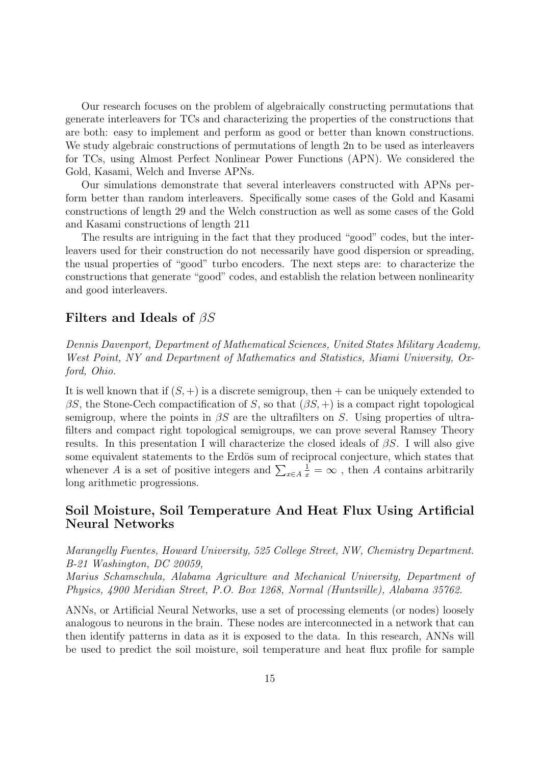Our research focuses on the problem of algebraically constructing permutations that generate interleavers for TCs and characterizing the properties of the constructions that are both: easy to implement and perform as good or better than known constructions. We study algebraic constructions of permutations of length 2n to be used as interleavers for TCs, using Almost Perfect Nonlinear Power Functions (APN). We considered the Gold, Kasami, Welch and Inverse APNs.

Our simulations demonstrate that several interleavers constructed with APNs perform better than random interleavers. Specifically some cases of the Gold and Kasami constructions of length 29 and the Welch construction as well as some cases of the Gold and Kasami constructions of length 211

The results are intriguing in the fact that they produced "good" codes, but the interleavers used for their construction do not necessarily have good dispersion or spreading, the usual properties of "good" turbo encoders. The next steps are: to characterize the constructions that generate "good" codes, and establish the relation between nonlinearity and good interleavers.

#### Filters and Ideals of  $\beta S$

Dennis Davenport, Department of Mathematical Sciences, United States Military Academy, West Point, NY and Department of Mathematics and Statistics, Miami University, Oxford, Ohio.

It is well known that if  $(S, +)$  is a discrete semigroup, then  $+$  can be uniquely extended to  $\beta S$ , the Stone-Cech compactification of S, so that  $(\beta S, +)$  is a compact right topological semigroup, where the points in  $\beta S$  are the ultrafilters on S. Using properties of ultrafilters and compact right topological semigroups, we can prove several Ramsey Theory results. In this presentation I will characterize the closed ideals of  $\beta S$ . I will also give some equivalent statements to the Erdös sum of reciprocal conjecture, which states that whenever A is a set of positive integers and  $\sum_{x \in A}$  $\frac{1}{x} = \infty$ , then A contains arbitrarily long arithmetic progressions.

## Soil Moisture, Soil Temperature And Heat Flux Using Artificial Neural Networks

Marangelly Fuentes, Howard University, 525 College Street, NW, Chemistry Department. B-21 Washington, DC 20059,

Marius Schamschula, Alabama Agriculture and Mechanical University, Department of Physics, 4900 Meridian Street, P.O. Box 1268, Normal (Huntsville), Alabama 35762.

ANNs, or Artificial Neural Networks, use a set of processing elements (or nodes) loosely analogous to neurons in the brain. These nodes are interconnected in a network that can then identify patterns in data as it is exposed to the data. In this research, ANNs will be used to predict the soil moisture, soil temperature and heat flux profile for sample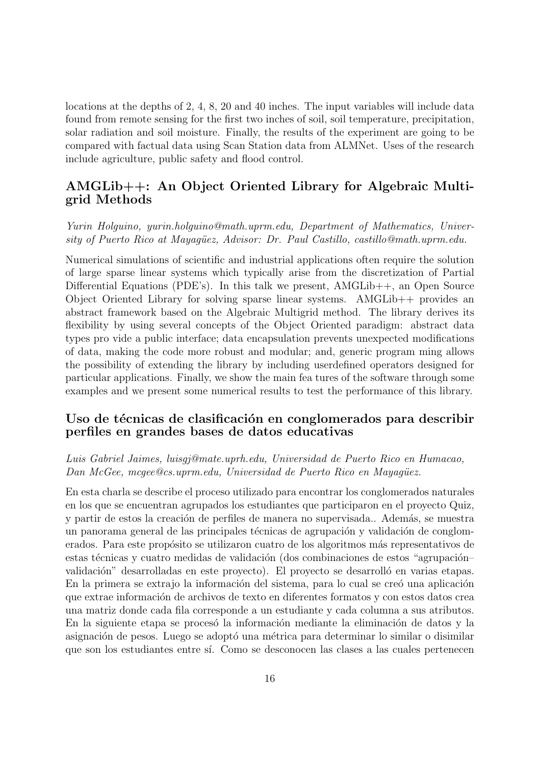locations at the depths of 2, 4, 8, 20 and 40 inches. The input variables will include data found from remote sensing for the first two inches of soil, soil temperature, precipitation, solar radiation and soil moisture. Finally, the results of the experiment are going to be compared with factual data using Scan Station data from ALMNet. Uses of the research include agriculture, public safety and flood control.

## AMGLib++: An Object Oriented Library for Algebraic Multigrid Methods

Yurin Holguino, yurin.holguino@math.uprm.edu, Department of Mathematics, University of Puerto Rico at Mayagüez, Advisor: Dr. Paul Castillo, castillo@math.uprm.edu.

Numerical simulations of scientific and industrial applications often require the solution of large sparse linear systems which typically arise from the discretization of Partial Differential Equations (PDE's). In this talk we present, AMGLib<sub>++</sub>, an Open Source Object Oriented Library for solving sparse linear systems. AMGLib++ provides an abstract framework based on the Algebraic Multigrid method. The library derives its flexibility by using several concepts of the Object Oriented paradigm: abstract data types pro vide a public interface; data encapsulation prevents unexpected modifications of data, making the code more robust and modular; and, generic program ming allows the possibility of extending the library by including userdefined operators designed for particular applications. Finally, we show the main fea tures of the software through some examples and we present some numerical results to test the performance of this library.

#### Uso de técnicas de clasificación en conglomerados para describir perfiles en grandes bases de datos educativas

#### Luis Gabriel Jaimes, luisgj@mate.uprh.edu, Universidad de Puerto Rico en Humacao, Dan McGee, mcgee@cs.uprm.edu, Universidad de Puerto Rico en Mayagüez.

En esta charla se describe el proceso utilizado para encontrar los conglomerados naturales en los que se encuentran agrupados los estudiantes que participaron en el proyecto Quiz, y partir de estos la creación de perfiles de manera no supervisada.. Además, se muestra un panorama general de las principales técnicas de agrupación y validación de conglomerados. Para este propósito se utilizaron cuatro de los algoritmos más representativos de estas técnicas y cuatro medidas de validación (dos combinaciones de estos "agrupación– validación" desarrolladas en este proyecto). El proyecto se desarrolló en varias etapas. En la primera se extrajo la información del sistema, para lo cual se creó una aplicación que extrae información de archivos de texto en diferentes formatos y con estos datos crea una matriz donde cada fila corresponde a un estudiante y cada columna a sus atributos. En la siguiente etapa se procesó la información mediante la eliminación de datos y la asignación de pesos. Luego se adoptó una métrica para determinar lo similar o disimilar que son los estudiantes entre s´ı. Como se desconocen las clases a las cuales pertenecen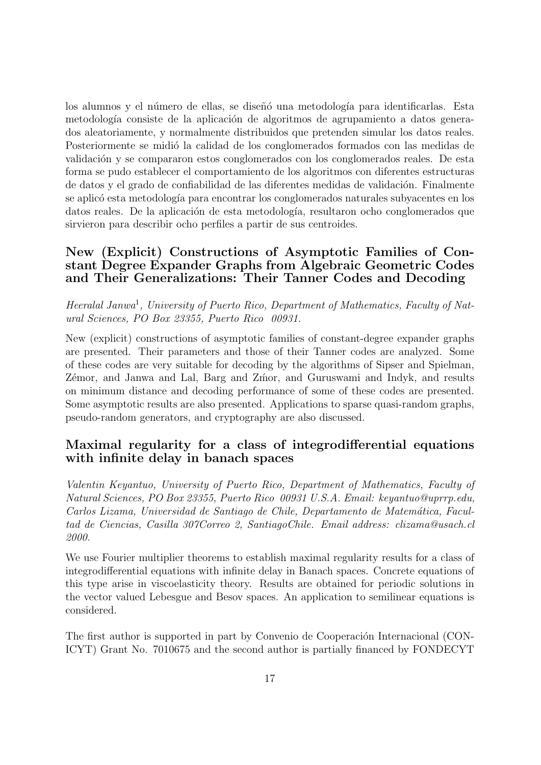los alumnos y el número de ellas, se diseñó una metodología para identificarlas. Esta metodología consiste de la aplicación de algoritmos de agrupamiento a datos generados aleatoriamente, y normalmente distribuidos que pretenden simular los datos reales. Posteriormente se midió la calidad de los conglomerados formados con las medidas de validación y se compararon estos conglomerados con los conglomerados reales. De esta forma se pudo establecer el comportamiento de los algoritmos con diferentes estructuras de datos y el grado de confiabilidad de las diferentes medidas de validación. Finalmente se aplicó esta metodología para encontrar los conglomerados naturales subyacentes en los datos reales. De la aplicación de esta metodología, resultaron ocho conglomerados que sirvieron para describir ocho perfiles a partir de sus centroides.

## New (Explicit) Constructions of Asymptotic Families of Constant Degree Expander Graphs from Algebraic Geometric Codes and Their Generalizations: Their Tanner Codes and Decoding

Heeralal Janwa<sup>1</sup>, University of Puerto Rico, Department of Mathematics, Faculty of Natural Sciences, PO Box 23355, Puerto Rico 00931.

New (explicit) constructions of asymptotic families of constant-degree expander graphs are presented. Their parameters and those of their Tanner codes are analyzed. Some of these codes are very suitable for decoding by the algorithms of Sipser and Spielman, Zémor, and Janwa and Lal, Barg and Zmor, and Guruswami and Indyk, and results on minimum distance and decoding performance of some of these codes are presented. Some asymptotic results are also presented. Applications to sparse quasi-random graphs, pseudo-random generators, and cryptography are also discussed.

## Maximal regularity for a class of integrodifferential equations with infinite delay in banach spaces

Valentin Keyantuo, University of Puerto Rico, Department of Mathematics, Faculty of Natural Sciences, PO Box 23355, Puerto Rico 00931 U.S.A. Email: keyantuo@uprrp.edu, Carlos Lizama, Universidad de Santiago de Chile, Departamento de Matemática, Facultad de Ciencias, Casilla 307Correo 2, SantiagoChile. Email address: clizama@usach.cl 2000.

We use Fourier multiplier theorems to establish maximal regularity results for a class of integrodifferential equations with infinite delay in Banach spaces. Concrete equations of this type arise in viscoelasticity theory. Results are obtained for periodic solutions in the vector valued Lebesgue and Besov spaces. An application to semilinear equations is considered.

The first author is supported in part by Convenio de Cooperación Internacional (CON-ICYT) Grant No. 7010675 and the second author is partially financed by FONDECYT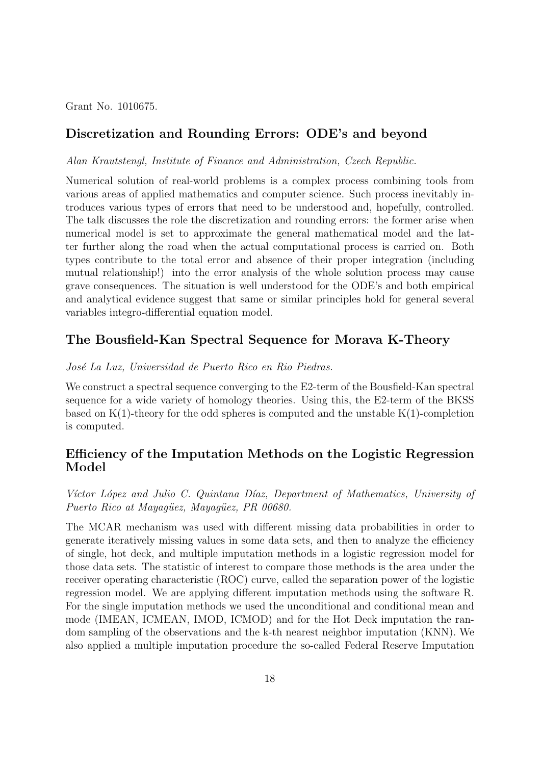Grant No. 1010675.

## Discretization and Rounding Errors: ODE's and beyond

Alan Krautstengl, Institute of Finance and Administration, Czech Republic.

Numerical solution of real-world problems is a complex process combining tools from various areas of applied mathematics and computer science. Such process inevitably introduces various types of errors that need to be understood and, hopefully, controlled. The talk discusses the role the discretization and rounding errors: the former arise when numerical model is set to approximate the general mathematical model and the latter further along the road when the actual computational process is carried on. Both types contribute to the total error and absence of their proper integration (including mutual relationship!) into the error analysis of the whole solution process may cause grave consequences. The situation is well understood for the ODE's and both empirical and analytical evidence suggest that same or similar principles hold for general several variables integro-differential equation model.

#### The Bousfield-Kan Spectral Sequence for Morava K-Theory

#### José La Luz, Universidad de Puerto Rico en Rio Piedras.

We construct a spectral sequence converging to the E2-term of the Bousfield-Kan spectral sequence for a wide variety of homology theories. Using this, the E2-term of the BKSS based on  $K(1)$ -theory for the odd spheres is computed and the unstable  $K(1)$ -completion is computed.

## Efficiency of the Imputation Methods on the Logistic Regression Model

#### Víctor López and Julio C. Quintana Díaz, Department of Mathematics, University of Puerto Rico at Mayagüez, Mayagüez, PR 00680.

The MCAR mechanism was used with different missing data probabilities in order to generate iteratively missing values in some data sets, and then to analyze the efficiency of single, hot deck, and multiple imputation methods in a logistic regression model for those data sets. The statistic of interest to compare those methods is the area under the receiver operating characteristic (ROC) curve, called the separation power of the logistic regression model. We are applying different imputation methods using the software R. For the single imputation methods we used the unconditional and conditional mean and mode (IMEAN, ICMEAN, IMOD, ICMOD) and for the Hot Deck imputation the random sampling of the observations and the k-th nearest neighbor imputation (KNN). We also applied a multiple imputation procedure the so-called Federal Reserve Imputation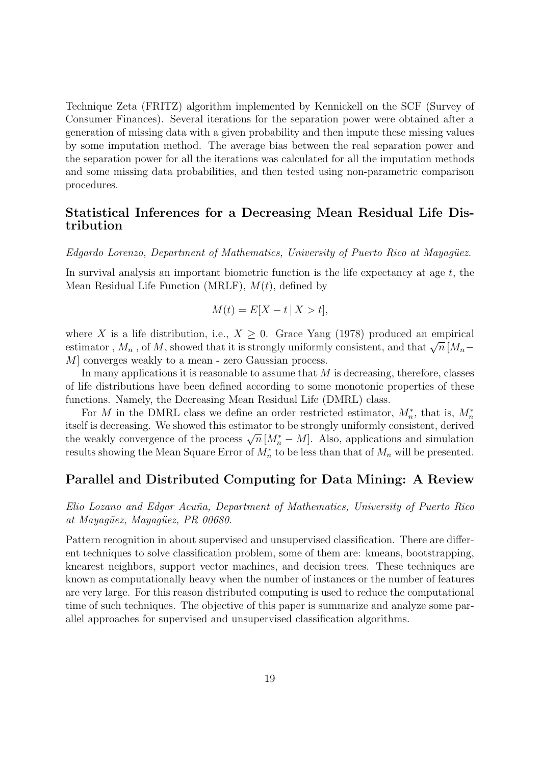Technique Zeta (FRITZ) algorithm implemented by Kennickell on the SCF (Survey of Consumer Finances). Several iterations for the separation power were obtained after a generation of missing data with a given probability and then impute these missing values by some imputation method. The average bias between the real separation power and the separation power for all the iterations was calculated for all the imputation methods and some missing data probabilities, and then tested using non-parametric comparison procedures.

## Statistical Inferences for a Decreasing Mean Residual Life Distribution

Edgardo Lorenzo, Department of Mathematics, University of Puerto Rico at Mayagüez.

In survival analysis an important biometric function is the life expectancy at age  $t$ , the Mean Residual Life Function (MRLF),  $M(t)$ , defined by

$$
M(t) = E[X - t \mid X > t],
$$

where X is a life distribution, i.e.,  $X \geq 0$ . Grace Yang (1978) produced an empirical where  $\Lambda$  is a life distribution, i.e.,  $\Lambda \geq 0$ . Grace Tang (1978) produced an empirical estimator,  $M_n$ , of  $M$ , showed that it is strongly uniformly consistent, and that  $\sqrt{n}$   $[M_n -$ M] converges weakly to a mean - zero Gaussian process.

In many applications it is reasonable to assume that  $M$  is decreasing, therefore, classes of life distributions have been defined according to some monotonic properties of these functions. Namely, the Decreasing Mean Residual Life (DMRL) class.

For M in the DMRL class we define an order restricted estimator,  $M_n^*$ , that is,  $M_n^*$ itself is decreasing. We showed this estimator to be strongly uniformly consistent, derived the weakly convergence of the process  $\sqrt{n}$  [ $M_n^* - M$ ]. Also, applications and simulation the weakly convergence of the process  $\sqrt{n}$  [ $M_n^* - M$ ]. results showing the Mean Square Error of  $M_n^*$  to be less than that of  $M_n$  will be presented.

#### Parallel and Distributed Computing for Data Mining: A Review

Elio Lozano and Edgar Acuña, Department of Mathematics, University of Puerto Rico at Mayagüez, Mayagüez, PR 00680.

Pattern recognition in about supervised and unsupervised classification. There are different techniques to solve classification problem, some of them are: kmeans, bootstrapping, knearest neighbors, support vector machines, and decision trees. These techniques are known as computationally heavy when the number of instances or the number of features are very large. For this reason distributed computing is used to reduce the computational time of such techniques. The objective of this paper is summarize and analyze some parallel approaches for supervised and unsupervised classification algorithms.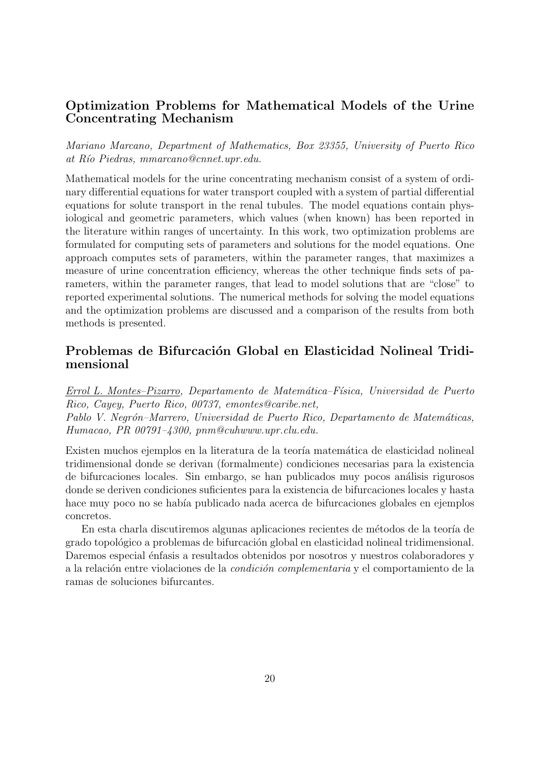## Optimization Problems for Mathematical Models of the Urine Concentrating Mechanism

Mariano Marcano, Department of Mathematics, Box 23355, University of Puerto Rico at Río Piedras, mmarcano@cnnet.upr.edu.

Mathematical models for the urine concentrating mechanism consist of a system of ordinary differential equations for water transport coupled with a system of partial differential equations for solute transport in the renal tubules. The model equations contain physiological and geometric parameters, which values (when known) has been reported in the literature within ranges of uncertainty. In this work, two optimization problems are formulated for computing sets of parameters and solutions for the model equations. One approach computes sets of parameters, within the parameter ranges, that maximizes a measure of urine concentration efficiency, whereas the other technique finds sets of parameters, within the parameter ranges, that lead to model solutions that are "close" to reported experimental solutions. The numerical methods for solving the model equations and the optimization problems are discussed and a comparison of the results from both methods is presented.

## Problemas de Bifurcación Global en Elasticidad Nolineal Tridimensional

Errol L. Montes–Pizarro, Departamento de Matem´atica–F´ısica, Universidad de Puerto Rico, Cayey, Puerto Rico, 00737, emontes@caribe.net, Pablo V. Negrón–Marrero, Universidad de Puerto Rico, Departamento de Matemáticas, Humacao, PR 00791–4300, pnm@cuhwww.upr.clu.edu.

Existen muchos ejemplos en la literatura de la teoría matemática de elasticidad nolineal tridimensional donde se derivan (formalmente) condiciones necesarias para la existencia de bifurcaciones locales. Sin embargo, se han publicados muy pocos análisis rigurosos donde se deriven condiciones suficientes para la existencia de bifurcaciones locales y hasta hace muy poco no se había publicado nada acerca de bifurcaciones globales en ejemplos concretos.

En esta charla discutiremos algunas aplicaciones recientes de métodos de la teoría de grado topológico a problemas de bifurcación global en elasticidad nolineal tridimensional. Daremos especial énfasis a resultados obtenidos por nosotros y nuestros colaboradores y a la relación entre violaciones de la *condición complementaria* y el comportamiento de la ramas de soluciones bifurcantes.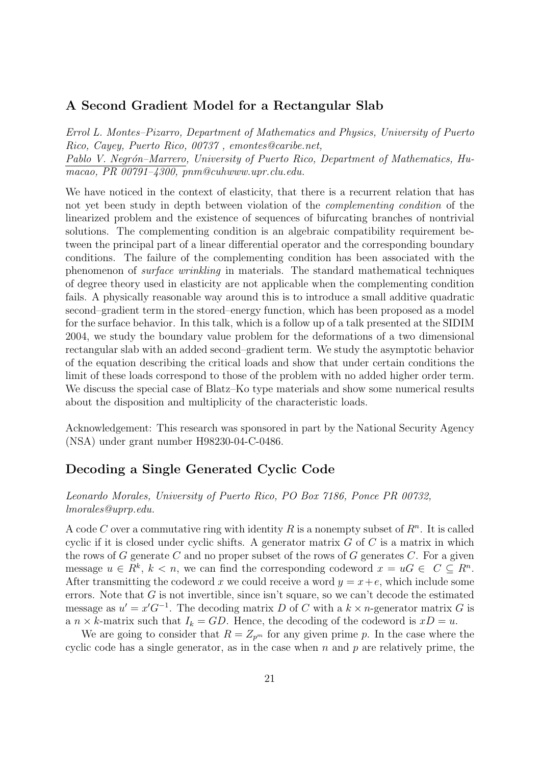#### A Second Gradient Model for a Rectangular Slab

Errol L. Montes–Pizarro, Department of Mathematics and Physics, University of Puerto Rico, Cayey, Puerto Rico, 00737 , emontes@caribe.net, Pablo V. Negrón–Marrero, University of Puerto Rico, Department of Mathematics, Humacao, PR 00791–4300, pnm@cuhwww.upr.clu.edu.

We have noticed in the context of elasticity, that there is a recurrent relation that has not yet been study in depth between violation of the complementing condition of the linearized problem and the existence of sequences of bifurcating branches of nontrivial solutions. The complementing condition is an algebraic compatibility requirement between the principal part of a linear differential operator and the corresponding boundary conditions. The failure of the complementing condition has been associated with the phenomenon of surface wrinkling in materials. The standard mathematical techniques of degree theory used in elasticity are not applicable when the complementing condition fails. A physically reasonable way around this is to introduce a small additive quadratic second–gradient term in the stored–energy function, which has been proposed as a model for the surface behavior. In this talk, which is a follow up of a talk presented at the SIDIM 2004, we study the boundary value problem for the deformations of a two dimensional rectangular slab with an added second–gradient term. We study the asymptotic behavior of the equation describing the critical loads and show that under certain conditions the limit of these loads correspond to those of the problem with no added higher order term. We discuss the special case of Blatz–Ko type materials and show some numerical results about the disposition and multiplicity of the characteristic loads.

Acknowledgement: This research was sponsored in part by the National Security Agency (NSA) under grant number H98230-04-C-0486.

## Decoding a Single Generated Cyclic Code

#### Leonardo Morales, University of Puerto Rico, PO Box 7186, Ponce PR 00732, lmorales@uprp.edu.

A code C over a commutative ring with identity R is a nonempty subset of  $R<sup>n</sup>$ . It is called cyclic if it is closed under cyclic shifts. A generator matrix  $G$  of  $C$  is a matrix in which the rows of G generate C and no proper subset of the rows of G generates  $C$ . For a given message  $u \in R^k$ ,  $k < n$ , we can find the corresponding codeword  $x = uG \in C \subseteq R^n$ . After transmitting the codeword x we could receive a word  $y = x + e$ , which include some errors. Note that G is not invertible, since isn't square, so we can't decode the estimated message as  $u' = x'G^{-1}$ . The decoding matrix D of C with a  $k \times n$ -generator matrix G is a  $n \times k$ -matrix such that  $I_k = GD$ . Hence, the decoding of the codeword is  $xD = u$ .

We are going to consider that  $R = Z_{p^m}$  for any given prime p. In the case where the cyclic code has a single generator, as in the case when n and  $p$  are relatively prime, the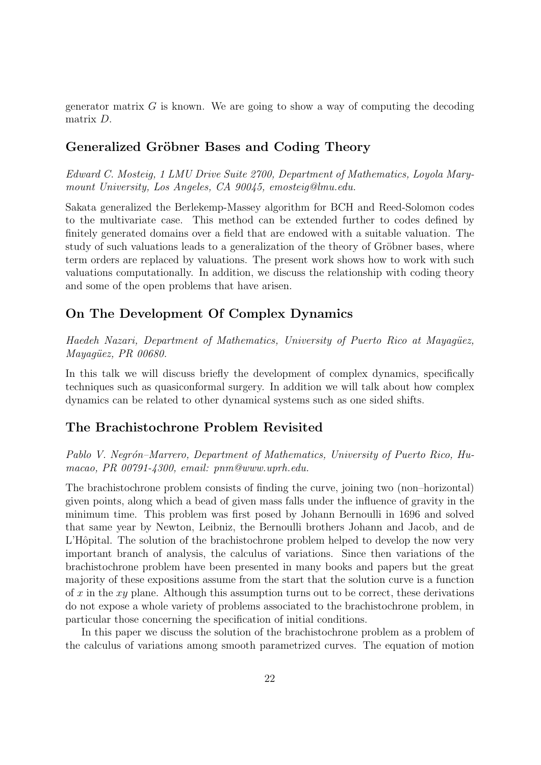generator matrix  $G$  is known. We are going to show a way of computing the decoding matrix D.

#### Generalized Gröbner Bases and Coding Theory

Edward C. Mosteig, 1 LMU Drive Suite 2700, Department of Mathematics, Loyola Marymount University, Los Angeles, CA 90045, emosteig@lmu.edu.

Sakata generalized the Berlekemp-Massey algorithm for BCH and Reed-Solomon codes to the multivariate case. This method can be extended further to codes defined by finitely generated domains over a field that are endowed with a suitable valuation. The study of such valuations leads to a generalization of the theory of Gröbner bases, where term orders are replaced by valuations. The present work shows how to work with such valuations computationally. In addition, we discuss the relationship with coding theory and some of the open problems that have arisen.

## On The Development Of Complex Dynamics

Haedeh Nazari, Department of Mathematics, University of Puerto Rico at Mayagüez, Mayagüez, PR 00680.

In this talk we will discuss briefly the development of complex dynamics, specifically techniques such as quasiconformal surgery. In addition we will talk about how complex dynamics can be related to other dynamical systems such as one sided shifts.

#### The Brachistochrone Problem Revisited

Pablo V. Negrón–Marrero, Department of Mathematics, University of Puerto Rico, Humacao, PR 00791-4300, email: pnm@www.uprh.edu.

The brachistochrone problem consists of finding the curve, joining two (non–horizontal) given points, along which a bead of given mass falls under the influence of gravity in the minimum time. This problem was first posed by Johann Bernoulli in 1696 and solved that same year by Newton, Leibniz, the Bernoulli brothers Johann and Jacob, and de L'Hôpital. The solution of the brachistochrone problem helped to develop the now very important branch of analysis, the calculus of variations. Since then variations of the brachistochrone problem have been presented in many books and papers but the great majority of these expositions assume from the start that the solution curve is a function of x in the  $xy$  plane. Although this assumption turns out to be correct, these derivations do not expose a whole variety of problems associated to the brachistochrone problem, in particular those concerning the specification of initial conditions.

In this paper we discuss the solution of the brachistochrone problem as a problem of the calculus of variations among smooth parametrized curves. The equation of motion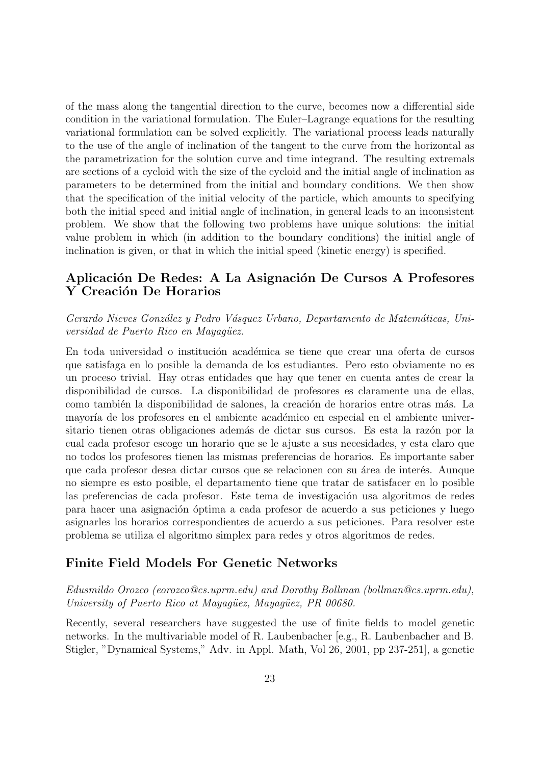of the mass along the tangential direction to the curve, becomes now a differential side condition in the variational formulation. The Euler–Lagrange equations for the resulting variational formulation can be solved explicitly. The variational process leads naturally to the use of the angle of inclination of the tangent to the curve from the horizontal as the parametrization for the solution curve and time integrand. The resulting extremals are sections of a cycloid with the size of the cycloid and the initial angle of inclination as parameters to be determined from the initial and boundary conditions. We then show that the specification of the initial velocity of the particle, which amounts to specifying both the initial speed and initial angle of inclination, in general leads to an inconsistent problem. We show that the following two problems have unique solutions: the initial value problem in which (in addition to the boundary conditions) the initial angle of inclination is given, or that in which the initial speed (kinetic energy) is specified.

## Aplicación De Redes: A La Asignación De Cursos A Profesores Y Creación De Horarios

#### Gerardo Nieves González y Pedro Vásquez Urbano, Departamento de Matemáticas, Universidad de Puerto Rico en Mayagüez.

En toda universidad o institución académica se tiene que crear una oferta de cursos que satisfaga en lo posible la demanda de los estudiantes. Pero esto obviamente no es un proceso trivial. Hay otras entidades que hay que tener en cuenta antes de crear la disponibilidad de cursos. La disponibilidad de profesores es claramente una de ellas, como también la disponibilidad de salones, la creación de horarios entre otras más. La mayoría de los profesores en el ambiente académico en especial en el ambiente universitario tienen otras obligaciones además de dictar sus cursos. Es esta la razón por la cual cada profesor escoge un horario que se le ajuste a sus necesidades, y esta claro que no todos los profesores tienen las mismas preferencias de horarios. Es importante saber que cada profesor desea dictar cursos que se relacionen con su área de interés. Aunque no siempre es esto posible, el departamento tiene que tratar de satisfacer en lo posible las preferencias de cada profesor. Este tema de investigación usa algoritmos de redes para hacer una asignación óptima a cada profesor de acuerdo a sus peticiones y luego asignarles los horarios correspondientes de acuerdo a sus peticiones. Para resolver este problema se utiliza el algoritmo simplex para redes y otros algoritmos de redes.

## Finite Field Models For Genetic Networks

Edusmildo Orozco (eorozco@cs.uprm.edu) and Dorothy Bollman (bollman@cs.uprm.edu), University of Puerto Rico at Mayagüez, Mayagüez, PR 00680.

Recently, several researchers have suggested the use of finite fields to model genetic networks. In the multivariable model of R. Laubenbacher [e.g., R. Laubenbacher and B. Stigler, "Dynamical Systems," Adv. in Appl. Math, Vol 26, 2001, pp 237-251], a genetic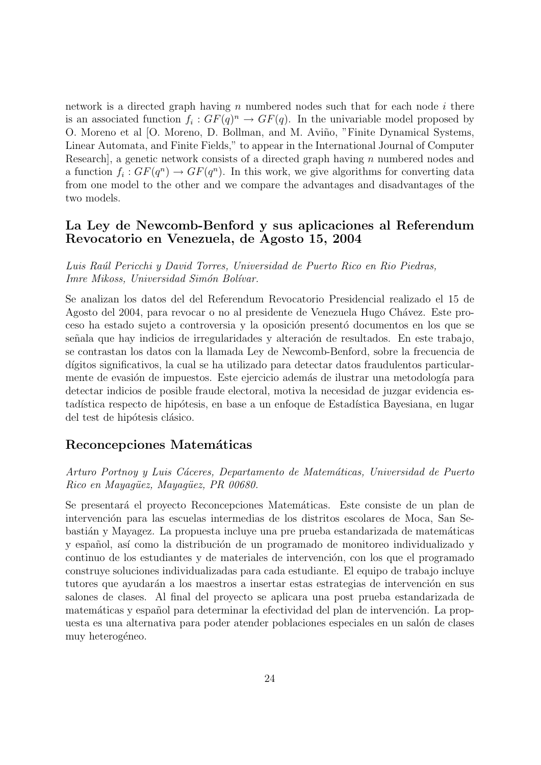network is a directed graph having n numbered nodes such that for each node i there is an associated function  $f_i: GF(q)^n \to GF(q)$ . In the univariable model proposed by O. Moreno et al [O. Moreno, D. Bollman, and M. Aviño, "Finite Dynamical Systems, Linear Automata, and Finite Fields," to appear in the International Journal of Computer Research, a genetic network consists of a directed graph having  $n$  numbered nodes and a function  $f_i: GF(q^n) \to GF(q^n)$ . In this work, we give algorithms for converting data from one model to the other and we compare the advantages and disadvantages of the two models.

## La Ley de Newcomb-Benford y sus aplicaciones al Referendum Revocatorio en Venezuela, de Agosto 15, 2004

Luis Ra´ul Pericchi y David Torres, Universidad de Puerto Rico en Rio Piedras, Imre Mikoss, Universidad Simón Bolívar.

Se analizan los datos del del Referendum Revocatorio Presidencial realizado el 15 de Agosto del 2004, para revocar o no al presidente de Venezuela Hugo Chávez. Este proceso ha estado sujeto a controversia y la oposición presentó documentos en los que se señala que hay indicios de irregularidades y alteración de resultados. En este trabajo, se contrastan los datos con la llamada Ley de Newcomb-Benford, sobre la frecuencia de dígitos significativos, la cual se ha utilizado para detectar datos fraudulentos particularmente de evasión de impuestos. Este ejercicio además de ilustrar una metodología para detectar indicios de posible fraude electoral, motiva la necesidad de juzgar evidencia estadística respecto de hipótesis, en base a un enfoque de Estadística Bayesiana, en lugar del test de hipótesis clásico.

#### Reconcepciones Matemáticas

Arturo Portnoy y Luis Cáceres, Departamento de Matemáticas, Universidad de Puerto Rico en Mayaqüez, Mayaqüez, PR 00680.

Se presentará el proyecto Reconcepciones Matemáticas. Este consiste de un plan de intervención para las escuelas intermedias de los distritos escolares de Moca, San Sebastián y Mayagez. La propuesta incluye una pre prueba estandarizada de matemáticas y español, así como la distribución de un programado de monitoreo individualizado y continuo de los estudiantes y de materiales de intervención, con los que el programado construye soluciones individualizadas para cada estudiante. El equipo de trabajo incluye tutores que ayudarán a los maestros a insertar estas estrategias de intervención en sus salones de clases. Al final del proyecto se aplicara una post prueba estandarizada de matemáticas y español para determinar la efectividad del plan de intervención. La propuesta es una alternativa para poder atender poblaciones especiales en un salón de clases muy heterogéneo.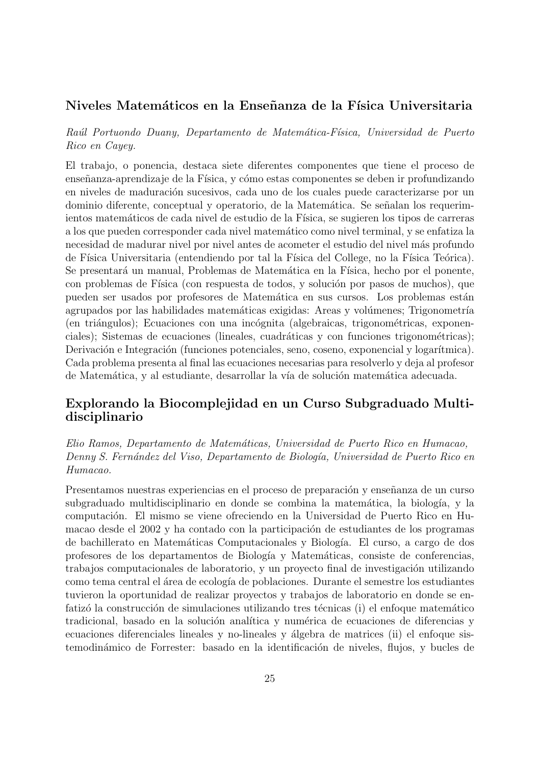#### Niveles Matemáticos en la Enseñanza de la Física Universitaria

Raúl Portuondo Duany, Departamento de Matemática-Física, Universidad de Puerto Rico en Cayey.

El trabajo, o ponencia, destaca siete diferentes componentes que tiene el proceso de enseñanza-aprendizaje de la Física, y cómo estas componentes se deben ir profundizando en niveles de maduración sucesivos, cada uno de los cuales puede caracterizarse por un dominio diferente, conceptual y operatorio, de la Matemática. Se señalan los requerimientos matemáticos de cada nivel de estudio de la Física, se sugieren los tipos de carreras a los que pueden corresponder cada nivel matem´atico como nivel terminal, y se enfatiza la necesidad de madurar nivel por nivel antes de acometer el estudio del nivel más profundo de Física Universitaria (entendiendo por tal la Física del College, no la Física Teórica). Se presentará un manual, Problemas de Matemática en la Física, hecho por el ponente, con problemas de Física (con respuesta de todos, y solución por pasos de muchos), que pueden ser usados por profesores de Matemática en sus cursos. Los problemas están agrupados por las habilidades matemáticas exigidas: Areas y volúmenes; Trigonometría (en triángulos); Ecuaciones con una incógnita (algebraicas, trigonométricas, exponenciales); Sistemas de ecuaciones (lineales, cuadráticas y con funciones trigonométricas); Derivación e Integración (funciones potenciales, seno, coseno, exponencial y logarítmica). Cada problema presenta al final las ecuaciones necesarias para resolverlo y deja al profesor de Matemática, y al estudiante, desarrollar la vía de solución matemática adecuada.

## Explorando la Biocomplejidad en un Curso Subgraduado Multidisciplinario

Elio Ramos, Departamento de Matem´aticas, Universidad de Puerto Rico en Humacao, Denny S. Fernández del Viso, Departamento de Biología, Universidad de Puerto Rico en Humacao.

Presentamos nuestras experiencias en el proceso de preparación y enseñanza de un curso subgraduado multidisciplinario en donde se combina la matemática, la biología, y la computaci´on. El mismo se viene ofreciendo en la Universidad de Puerto Rico en Humacao desde el 2002 y ha contado con la participación de estudiantes de los programas de bachillerato en Matem´aticas Computacionales y Biolog´ıa. El curso, a cargo de dos profesores de los departamentos de Biolog´ıa y Matem´aticas, consiste de conferencias, trabajos computacionales de laboratorio, y un proyecto final de investigación utilizando como tema central el ´area de ecolog´ıa de poblaciones. Durante el semestre los estudiantes tuvieron la oportunidad de realizar proyectos y trabajos de laboratorio en donde se enfatizó la construcción de simulaciones utilizando tres técnicas (i) el enfoque matemático tradicional, basado en la solución analítica y numérica de ecuaciones de diferencias y ecuaciones diferenciales lineales y no-lineales y álgebra de matrices (ii) el enfoque sistemodinámico de Forrester: basado en la identificación de niveles, flujos, y bucles de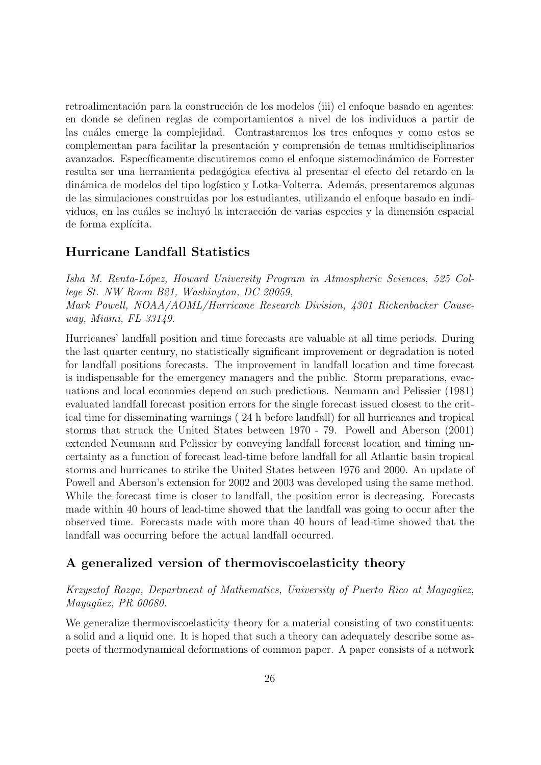retroalimentación para la construcción de los modelos (iii) el enfoque basado en agentes: en donde se definen reglas de comportamientos a nivel de los individuos a partir de las cuáles emerge la complejidad. Contrastaremos los tres enfoques y como estos se complementan para facilitar la presentación y comprensión de temas multidisciplinarios avanzados. Específicamente discutiremos como el enfoque sistemodinámico de Forrester resulta ser una herramienta pedagógica efectiva al presentar el efecto del retardo en la dinámica de modelos del tipo logístico y Lotka-Volterra. Además, presentaremos algunas de las simulaciones construidas por los estudiantes, utilizando el enfoque basado en individuos, en las cuáles se incluyó la interacción de varias especies y la dimensión espacial de forma explícita.

## Hurricane Landfall Statistics

Isha M. Renta-L´opez, Howard University Program in Atmospheric Sciences, 525 College St. NW Room B21, Washington, DC 20059, Mark Powell, NOAA/AOML/Hurricane Research Division, 4301 Rickenbacker Causeway, Miami, FL 33149.

Hurricanes' landfall position and time forecasts are valuable at all time periods. During the last quarter century, no statistically significant improvement or degradation is noted for landfall positions forecasts. The improvement in landfall location and time forecast is indispensable for the emergency managers and the public. Storm preparations, evacuations and local economies depend on such predictions. Neumann and Pelissier (1981) evaluated landfall forecast position errors for the single forecast issued closest to the critical time for disseminating warnings ( 24 h before landfall) for all hurricanes and tropical storms that struck the United States between 1970 - 79. Powell and Aberson (2001) extended Neumann and Pelissier by conveying landfall forecast location and timing uncertainty as a function of forecast lead-time before landfall for all Atlantic basin tropical storms and hurricanes to strike the United States between 1976 and 2000. An update of Powell and Aberson's extension for 2002 and 2003 was developed using the same method. While the forecast time is closer to landfall, the position error is decreasing. Forecasts made within 40 hours of lead-time showed that the landfall was going to occur after the observed time. Forecasts made with more than 40 hours of lead-time showed that the landfall was occurring before the actual landfall occurred.

## A generalized version of thermoviscoelasticity theory

#### Krzysztof Rozga, Department of Mathematics, University of Puerto Rico at Mayagüez,  $May a güez, PR\ 00680.$

We generalize thermoviscoelasticity theory for a material consisting of two constituents: a solid and a liquid one. It is hoped that such a theory can adequately describe some aspects of thermodynamical deformations of common paper. A paper consists of a network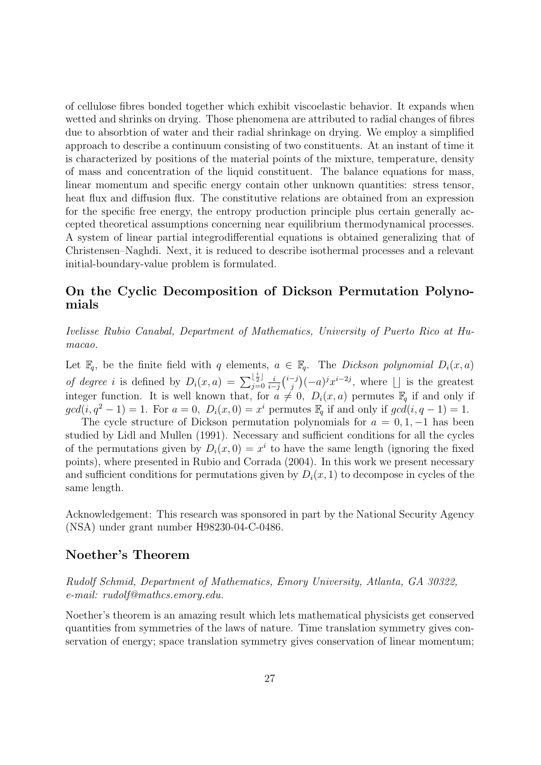of cellulose fibres bonded together which exhibit viscoelastic behavior. It expands when wetted and shrinks on drying. Those phenomena are attributed to radial changes of fibres due to absorbtion of water and their radial shrinkage on drying. We employ a simplified approach to describe a continuum consisting of two constituents. At an instant of time it is characterized by positions of the material points of the mixture, temperature, density of mass and concentration of the liquid constituent. The balance equations for mass, linear momentum and specific energy contain other unknown quantities: stress tensor, heat flux and diffusion flux. The constitutive relations are obtained from an expression for the specific free energy, the entropy production principle plus certain generally accepted theoretical assumptions concerning near equilibrium thermodynamical processes. A system of linear partial integrodifferential equations is obtained generalizing that of Christensen–Naghdi. Next, it is reduced to describe isothermal processes and a relevant initial-boundary-value problem is formulated.

## On the Cyclic Decomposition of Dickson Permutation Polynomials

Ivelisse Rubio Canabal, Department of Mathematics, University of Puerto Rico at Humacao.

Let  $\mathbb{F}_q$ , be the finite field with q elements,  $a \in \mathbb{F}_q$ . The *Dickson polynomial*  $D_i(x, a)$ of degree i is defined by  $D_i(x,a) = \sum_{i=0}^{\lfloor \frac{i}{2} \rfloor}$  $\frac{1\bar{2}}{j=0}$   $\frac{i}{i-1}$  $\frac{i}{i-j}$  $\binom{i-j}{j}$  $j^{(-j)}(-a)^j x^{i-2j}$ , where  $\lfloor \rfloor$  is the greatest integer function. It is well known that, for  $a \neq 0$ ,  $D_i(x, a)$  permutes  $\mathbb{F}_q$  if and only if  $gcd(i, q^2 - 1) = 1$ . For  $a = 0$ ,  $D_i(x, 0) = x^i$  permutes  $\mathbb{F}_q$  if and only if  $gcd(i, q - 1) = 1$ .

The cycle structure of Dickson permutation polynomials for  $a = 0, 1, -1$  has been studied by Lidl and Mullen (1991). Necessary and sufficient conditions for all the cycles of the permutations given by  $D_i(x,0) = x^i$  to have the same length (ignoring the fixed points), where presented in Rubio and Corrada (2004). In this work we present necessary and sufficient conditions for permutations given by  $D_i(x, 1)$  to decompose in cycles of the same length.

Acknowledgement: This research was sponsored in part by the National Security Agency (NSA) under grant number H98230-04-C-0486.

#### Noether's Theorem

Rudolf Schmid, Department of Mathematics, Emory University, Atlanta, GA 30322, e-mail: rudolf@mathcs.emory.edu.

Noether's theorem is an amazing result which lets mathematical physicists get conserved quantities from symmetries of the laws of nature. Time translation symmetry gives conservation of energy; space translation symmetry gives conservation of linear momentum;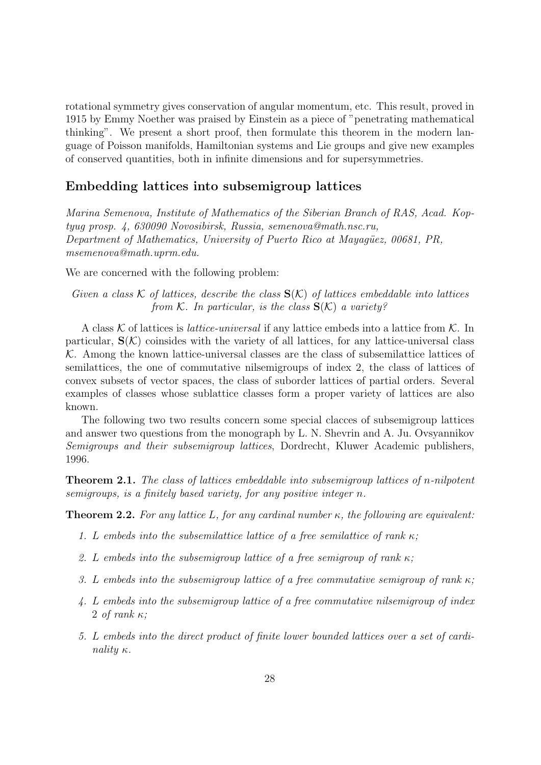rotational symmetry gives conservation of angular momentum, etc. This result, proved in 1915 by Emmy Noether was praised by Einstein as a piece of "penetrating mathematical thinking". We present a short proof, then formulate this theorem in the modern language of Poisson manifolds, Hamiltonian systems and Lie groups and give new examples of conserved quantities, both in infinite dimensions and for supersymmetries.

#### Embedding lattices into subsemigroup lattices

Marina Semenova, Institute of Mathematics of the Siberian Branch of RAS, Acad. Koptyug prosp. 4, 630090 Novosibirsk, Russia, semenova@math.nsc.ru, Department of Mathematics, University of Puerto Rico at Mayagüez, 00681, PR, msemenova@math.uprm.edu.

We are concerned with the following problem:

Given a class K of lattices, describe the class  $S(K)$  of lattices embeddable into lattices from K. In particular, is the class  $S(K)$  a variety?

A class K of lattices is *lattice-universal* if any lattice embeds into a lattice from K. In particular,  $S(\mathcal{K})$  coinsides with the variety of all lattices, for any lattice-universal class  $K$ . Among the known lattice-universal classes are the class of subsemilattice lattices of semilattices, the one of commutative nilsemigroups of index 2, the class of lattices of convex subsets of vector spaces, the class of suborder lattices of partial orders. Several examples of classes whose sublattice classes form a proper variety of lattices are also known.

The following two two results concern some special clacces of subsemigroup lattices and answer two questions from the monograph by L. N. Shevrin and A. Ju. Ovsyannikov Semigroups and their subsemigroup lattices, Dordrecht, Kluwer Academic publishers, 1996.

Theorem 2.1. The class of lattices embeddable into subsemigroup lattices of n-nilpotent semigroups, is a finitely based variety, for any positive integer n.

**Theorem 2.2.** For any lattice L, for any cardinal number  $\kappa$ , the following are equivalent:

- 1. L embeds into the subsemilattice lattice of a free semilattice of rank  $\kappa$ ;
- 2. L embeds into the subsemigroup lattice of a free semigroup of rank  $\kappa$ ;
- 3. L embeds into the subsemigroup lattice of a free commutative semigroup of rank  $\kappa$ ;
- 4. L embeds into the subsemigroup lattice of a free commutative nilsemigroup of index 2 of rank  $\kappa$ :
- 5. L embeds into the direct product of finite lower bounded lattices over a set of cardinality κ.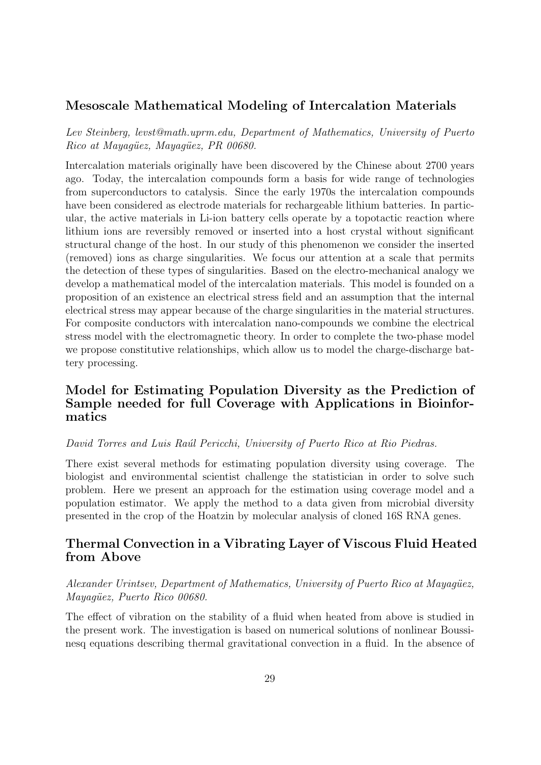### Mesoscale Mathematical Modeling of Intercalation Materials

Lev Steinberg, levst@math.uprm.edu, Department of Mathematics, University of Puerto Rico at Mayagüez, Mayagüez, PR 00680.

Intercalation materials originally have been discovered by the Chinese about 2700 years ago. Today, the intercalation compounds form a basis for wide range of technologies from superconductors to catalysis. Since the early 1970s the intercalation compounds have been considered as electrode materials for rechargeable lithium batteries. In particular, the active materials in Li-ion battery cells operate by a topotactic reaction where lithium ions are reversibly removed or inserted into a host crystal without significant structural change of the host. In our study of this phenomenon we consider the inserted (removed) ions as charge singularities. We focus our attention at a scale that permits the detection of these types of singularities. Based on the electro-mechanical analogy we develop a mathematical model of the intercalation materials. This model is founded on a proposition of an existence an electrical stress field and an assumption that the internal electrical stress may appear because of the charge singularities in the material structures. For composite conductors with intercalation nano-compounds we combine the electrical stress model with the electromagnetic theory. In order to complete the two-phase model we propose constitutive relationships, which allow us to model the charge-discharge battery processing.

## Model for Estimating Population Diversity as the Prediction of Sample needed for full Coverage with Applications in Bioinformatics

#### David Torres and Luis Raúl Pericchi, University of Puerto Rico at Rio Piedras.

There exist several methods for estimating population diversity using coverage. The biologist and environmental scientist challenge the statistician in order to solve such problem. Here we present an approach for the estimation using coverage model and a population estimator. We apply the method to a data given from microbial diversity presented in the crop of the Hoatzin by molecular analysis of cloned 16S RNA genes.

## Thermal Convection in a Vibrating Layer of Viscous Fluid Heated from Above

Alexander Urintsev, Department of Mathematics, University of Puerto Rico at Mayagüez, Mayagüez, Puerto Rico 00680.

The effect of vibration on the stability of a fluid when heated from above is studied in the present work. The investigation is based on numerical solutions of nonlinear Boussinesq equations describing thermal gravitational convection in a fluid. In the absence of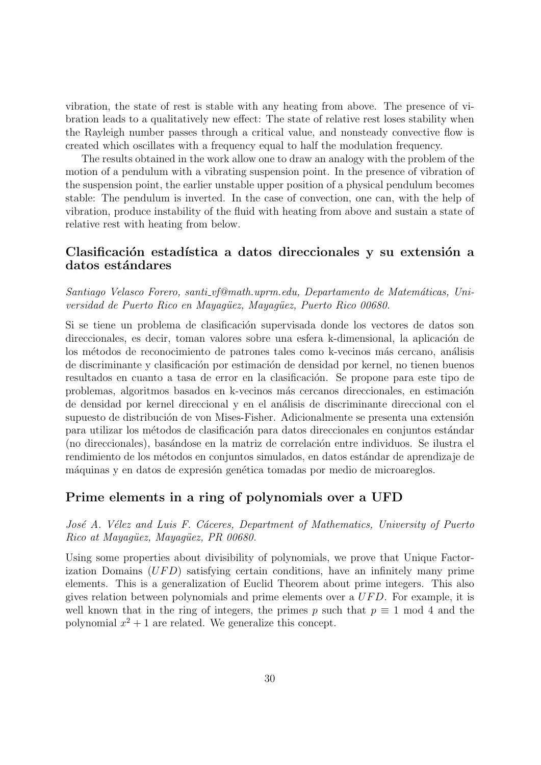vibration, the state of rest is stable with any heating from above. The presence of vibration leads to a qualitatively new effect: The state of relative rest loses stability when the Rayleigh number passes through a critical value, and nonsteady convective flow is created which oscillates with a frequency equal to half the modulation frequency.

The results obtained in the work allow one to draw an analogy with the problem of the motion of a pendulum with a vibrating suspension point. In the presence of vibration of the suspension point, the earlier unstable upper position of a physical pendulum becomes stable: The pendulum is inverted. In the case of convection, one can, with the help of vibration, produce instability of the fluid with heating from above and sustain a state of relative rest with heating from below.

### Clasificación estadística a datos direccionales y su extensión a datos estándares

Santiago Velasco Forero, santi vf@math.uprm.edu, Departamento de Matemáticas, Universidad de Puerto Rico en Mayaqüez, Mayaqüez, Puerto Rico 00680.

Si se tiene un problema de clasificación supervisada donde los vectores de datos son direccionales, es decir, toman valores sobre una esfera k-dimensional, la aplicación de los métodos de reconocimiento de patrones tales como k-vecinos más cercano, análisis de discriminante y clasificación por estimación de densidad por kernel, no tienen buenos resultados en cuanto a tasa de error en la clasificación. Se propone para este tipo de problemas, algoritmos basados en k-vecinos más cercanos direccionales, en estimación de densidad por kernel direccional y en el an´alisis de discriminante direccional con el supuesto de distribución de von Mises-Fisher. Adicionalmente se presenta una extensión para utilizar los métodos de clasificación para datos direccionales en conjuntos estándar (no direccionales), bas´andose en la matriz de correlaci´on entre individuos. Se ilustra el rendimiento de los métodos en conjuntos simulados, en datos estándar de aprendizaje de máquinas y en datos de expresión genética tomadas por medio de microareglos.

#### Prime elements in a ring of polynomials over a UFD

José A. Vélez and Luis F. Cáceres, Department of Mathematics, University of Puerto Rico at Mayagüez, Mayagüez, PR 00680.

Using some properties about divisibility of polynomials, we prove that Unique Factorization Domains  $(UFD)$  satisfying certain conditions, have an infinitely many prime elements. This is a generalization of Euclid Theorem about prime integers. This also gives relation between polynomials and prime elements over a  $UFD$ . For example, it is well known that in the ring of integers, the primes p such that  $p \equiv 1 \mod 4$  and the polynomial  $x^2 + 1$  are related. We generalize this concept.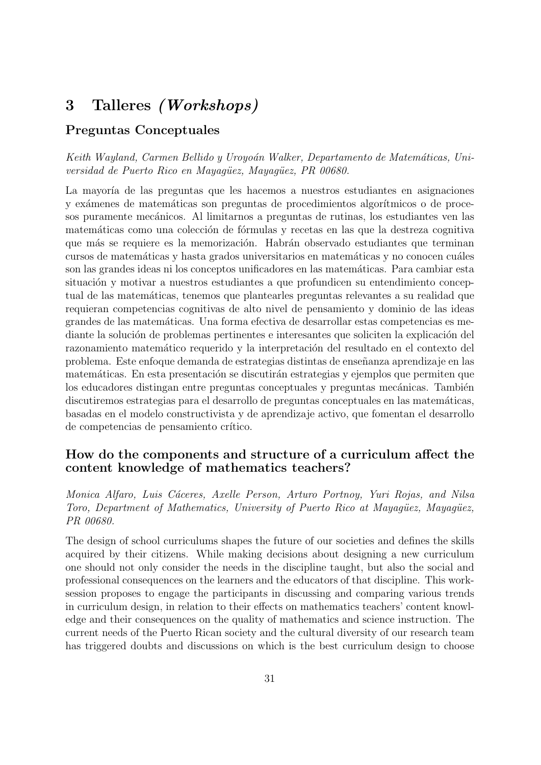# 3 Talleres (Workshops)

## Preguntas Conceptuales

Keith Wayland, Carmen Bellido y Uroyoán Walker, Departamento de Matemáticas, Universidad de Puerto Rico en Mayagüez, Mayagüez, PR 00680.

La mayoría de las preguntas que les hacemos a nuestros estudiantes en asignaciones y exámenes de matemáticas son preguntas de procedimientos algorítmicos o de procesos puramente mecánicos. Al limitarnos a preguntas de rutinas, los estudiantes ven las matemáticas como una colección de fórmulas y recetas en las que la destreza cognitiva que más se requiere es la memorización. Habrán observado estudiantes que terminan cursos de matemáticas y hasta grados universitarios en matemáticas y no conocen cuáles son las grandes ideas ni los conceptos unificadores en las matemáticas. Para cambiar esta situación y motivar a nuestros estudiantes a que profundicen su entendimiento conceptual de las matem´aticas, tenemos que plantearles preguntas relevantes a su realidad que requieran competencias cognitivas de alto nivel de pensamiento y dominio de las ideas grandes de las matemáticas. Una forma efectiva de desarrollar estas competencias es mediante la solución de problemas pertinentes e interesantes que soliciten la explicación del razonamiento matemático requerido y la interpretación del resultado en el contexto del problema. Este enfoque demanda de estrategias distintas de enseñanza aprendizaje en las matemáticas. En esta presentación se discutirán estrategias y ejemplos que permiten que los educadores distingan entre preguntas conceptuales y preguntas mecánicas. También discutiremos estrategias para el desarrollo de preguntas conceptuales en las matemáticas, basadas en el modelo constructivista y de aprendizaje activo, que fomentan el desarrollo de competencias de pensamiento crítico.

## How do the components and structure of a curriculum affect the content knowledge of mathematics teachers?

Monica Alfaro, Luis Cáceres, Axelle Person, Arturo Portnoy, Yuri Rojas, and Nilsa Toro, Department of Mathematics, University of Puerto Rico at Mayagüez, Mayagüez, PR 00680.

The design of school curriculums shapes the future of our societies and defines the skills acquired by their citizens. While making decisions about designing a new curriculum one should not only consider the needs in the discipline taught, but also the social and professional consequences on the learners and the educators of that discipline. This worksession proposes to engage the participants in discussing and comparing various trends in curriculum design, in relation to their effects on mathematics teachers' content knowledge and their consequences on the quality of mathematics and science instruction. The current needs of the Puerto Rican society and the cultural diversity of our research team has triggered doubts and discussions on which is the best curriculum design to choose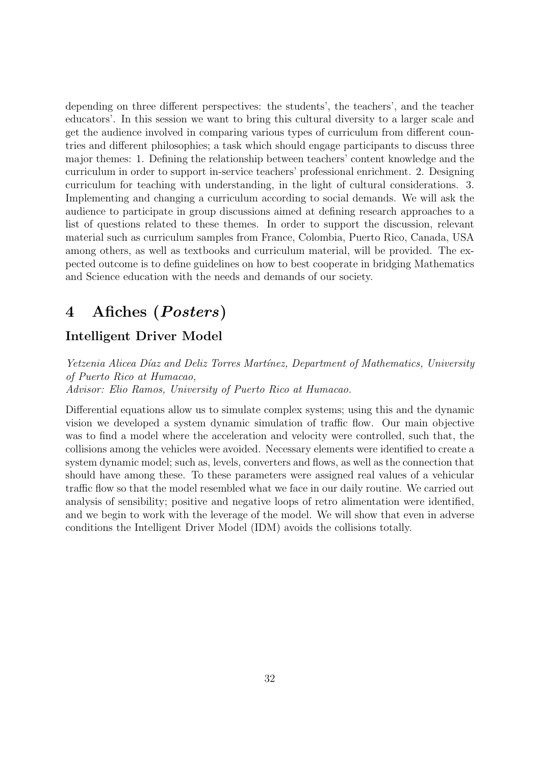depending on three different perspectives: the students', the teachers', and the teacher educators'. In this session we want to bring this cultural diversity to a larger scale and get the audience involved in comparing various types of curriculum from different countries and different philosophies; a task which should engage participants to discuss three major themes: 1. Defining the relationship between teachers' content knowledge and the curriculum in order to support in-service teachers' professional enrichment. 2. Designing curriculum for teaching with understanding, in the light of cultural considerations. 3. Implementing and changing a curriculum according to social demands. We will ask the audience to participate in group discussions aimed at defining research approaches to a list of questions related to these themes. In order to support the discussion, relevant material such as curriculum samples from France, Colombia, Puerto Rico, Canada, USA among others, as well as textbooks and curriculum material, will be provided. The expected outcome is to define guidelines on how to best cooperate in bridging Mathematics and Science education with the needs and demands of our society.

# 4 Afiches (Posters)

## Intelligent Driver Model

Yetzenia Alicea Díaz and Deliz Torres Martínez, Department of Mathematics, University of Puerto Rico at Humacao, Advisor: Elio Ramos, University of Puerto Rico at Humacao.

Differential equations allow us to simulate complex systems; using this and the dynamic vision we developed a system dynamic simulation of traffic flow. Our main objective was to find a model where the acceleration and velocity were controlled, such that, the collisions among the vehicles were avoided. Necessary elements were identified to create a system dynamic model; such as, levels, converters and flows, as well as the connection that should have among these. To these parameters were assigned real values of a vehicular traffic flow so that the model resembled what we face in our daily routine. We carried out analysis of sensibility; positive and negative loops of retro alimentation were identified, and we begin to work with the leverage of the model. We will show that even in adverse conditions the Intelligent Driver Model (IDM) avoids the collisions totally.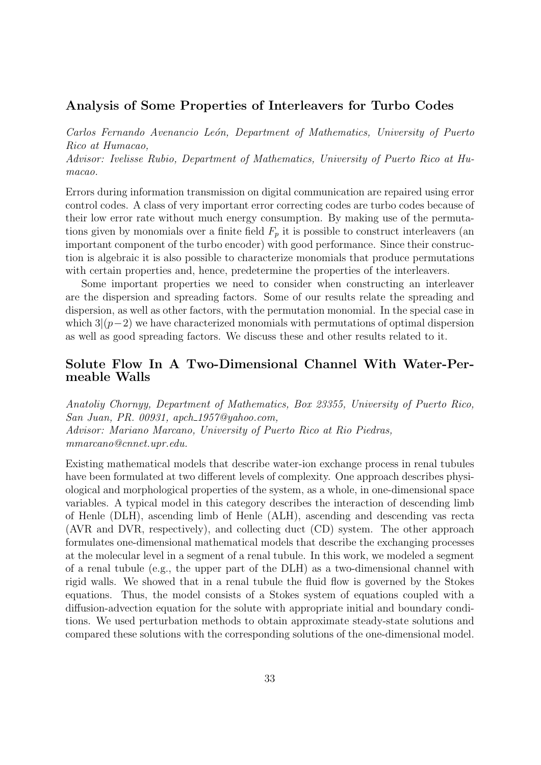#### Analysis of Some Properties of Interleavers for Turbo Codes

Carlos Fernando Avenancio León, Department of Mathematics, University of Puerto Rico at Humacao, Advisor: Ivelisse Rubio, Department of Mathematics, University of Puerto Rico at Hu-

macao.

Errors during information transmission on digital communication are repaired using error control codes. A class of very important error correcting codes are turbo codes because of their low error rate without much energy consumption. By making use of the permutations given by monomials over a finite field  $F_p$  it is possible to construct interleavers (an important component of the turbo encoder) with good performance. Since their construction is algebraic it is also possible to characterize monomials that produce permutations with certain properties and, hence, predetermine the properties of the interleavers.

Some important properties we need to consider when constructing an interleaver are the dispersion and spreading factors. Some of our results relate the spreading and dispersion, as well as other factors, with the permutation monomial. In the special case in which  $3(p-2)$  we have characterized monomials with permutations of optimal dispersion as well as good spreading factors. We discuss these and other results related to it.

## Solute Flow In A Two-Dimensional Channel With Water-Permeable Walls

Anatoliy Chornyy, Department of Mathematics, Box 23355, University of Puerto Rico, San Juan, PR. 00931, apch 1957@yahoo.com, Advisor: Mariano Marcano, University of Puerto Rico at Rio Piedras, mmarcano@cnnet.upr.edu.

Existing mathematical models that describe water-ion exchange process in renal tubules have been formulated at two different levels of complexity. One approach describes physiological and morphological properties of the system, as a whole, in one-dimensional space variables. A typical model in this category describes the interaction of descending limb of Henle (DLH), ascending limb of Henle (ALH), ascending and descending vas recta (AVR and DVR, respectively), and collecting duct (CD) system. The other approach formulates one-dimensional mathematical models that describe the exchanging processes at the molecular level in a segment of a renal tubule. In this work, we modeled a segment of a renal tubule (e.g., the upper part of the DLH) as a two-dimensional channel with rigid walls. We showed that in a renal tubule the fluid flow is governed by the Stokes equations. Thus, the model consists of a Stokes system of equations coupled with a diffusion-advection equation for the solute with appropriate initial and boundary conditions. We used perturbation methods to obtain approximate steady-state solutions and compared these solutions with the corresponding solutions of the one-dimensional model.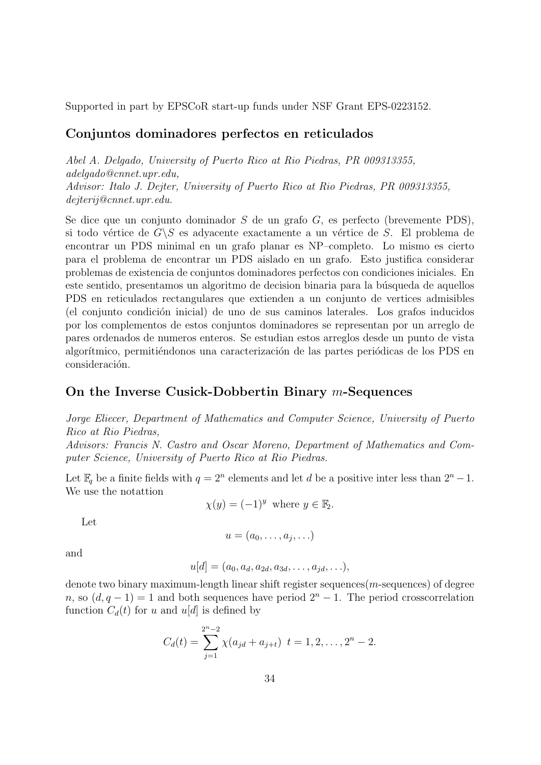Supported in part by EPSCoR start-up funds under NSF Grant EPS-0223152.

## Conjuntos dominadores perfectos en reticulados

Abel A. Delgado, University of Puerto Rico at Rio Piedras, PR 009313355, adelgado@cnnet.upr.edu, Advisor: Italo J. Dejter, University of Puerto Rico at Rio Piedras, PR 009313355, dejterij@cnnet.upr.edu.

Se dice que un conjunto dominador S de un grafo G, es perfecto (brevemente PDS), si todo vértice de  $G\backslash S$  es adyacente exactamente a un vértice de S. El problema de encontrar un PDS minimal en un grafo planar es NP–completo. Lo mismo es cierto para el problema de encontrar un PDS aislado en un grafo. Esto justifica considerar problemas de existencia de conjuntos dominadores perfectos con condiciones iniciales. En este sentido, presentamos un algoritmo de decision binaria para la búsqueda de aquellos PDS en reticulados rectangulares que extienden a un conjunto de vertices admisibles (el conjunto condición inicial) de uno de sus caminos laterales. Los grafos inducidos por los complementos de estos conjuntos dominadores se representan por un arreglo de pares ordenados de numeros enteros. Se estudian estos arreglos desde un punto de vista algorítmico, permitiéndonos una caracterización de las partes periódicas de los PDS en consideración.

## On the Inverse Cusick-Dobbertin Binary m-Sequences

Jorge Eliecer, Department of Mathematics and Computer Science, University of Puerto Rico at Rio Piedras,

Advisors: Francis N. Castro and Oscar Moreno, Department of Mathematics and Computer Science, University of Puerto Rico at Rio Piedras.

Let  $\mathbb{F}_q$  be a finite fields with  $q = 2^n$  elements and let d be a positive inter less than  $2^n - 1$ . We use the notattion

 $\chi(y) = (-1)^y$  where  $y \in \mathbb{F}_2$ .

Let

$$
u=(a_0,\ldots,a_j,\ldots)
$$

and

$$
u[d] = (a_0, a_d, a_{2d}, a_{3d}, \dots, a_{jd}, \dots),
$$

denote two binary maximum-length linear shift register sequences $(m$ -sequences) of degree n, so  $(d, q - 1) = 1$  and both sequences have period  $2<sup>n</sup> - 1$ . The period crosscorrelation function  $C_d(t)$  for u and u[d] is defined by

$$
C_d(t) = \sum_{j=1}^{2^n-2} \chi(a_{jd} + a_{j+t}) \ t = 1, 2, \ldots, 2^n - 2.
$$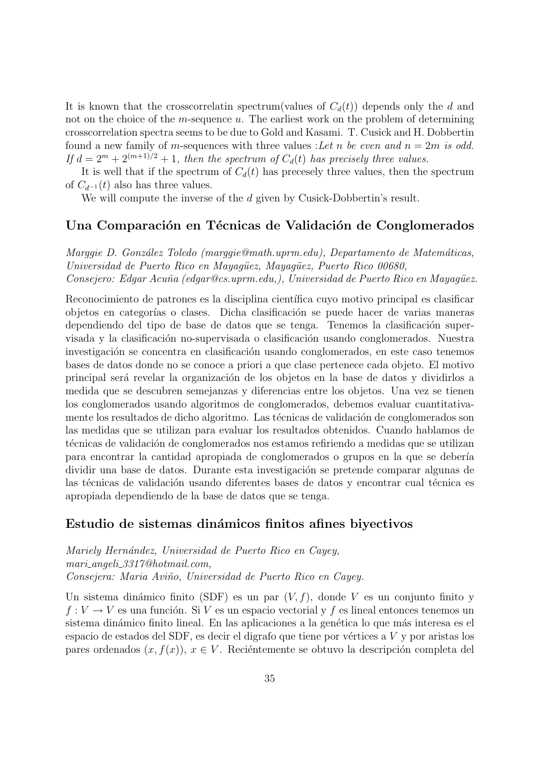It is known that the crosscorrelatin spectrum(values of  $C_d(t)$ ) depends only the d and not on the choice of the m-sequence  $u$ . The earliest work on the problem of determining crosscorrelation spectra seems to be due to Gold and Kasami. T. Cusick and H. Dobbertin found a new family of m-sequences with three values : Let n be even and  $n = 2m$  is odd. If  $d = 2^m + 2^{(m+1)/2} + 1$ , then the spectrum of  $C_d(t)$  has precisely three values.

It is well that if the spectrum of  $C_d(t)$  has precessely three values, then the spectrum of  $C_{d^{-1}}(t)$  also has three values.

We will compute the inverse of the d given by Cusick-Dobbertin's result.

#### Una Comparación en Técnicas de Validación de Conglomerados

Marggie D. González Toledo (marggie@math.uprm.edu), Departamento de Matemáticas, Universidad de Puerto Rico en Mayagüez, Mayagüez, Puerto Rico 00680, Consejero: Edgar Acuña (edgar@cs.uprm.edu,), Universidad de Puerto Rico en Mayagüez.

Reconocimiento de patrones es la disciplina científica cuyo motivo principal es clasificar objetos en categorías o clases. Dicha clasificación se puede hacer de varias maneras dependiendo del tipo de base de datos que se tenga. Tenemos la clasificación supervisada y la clasificación no-supervisada o clasificación usando conglomerados. Nuestra investigación se concentra en clasificación usando conglomerados, en este caso tenemos bases de datos donde no se conoce a priori a que clase pertenece cada objeto. El motivo principal será revelar la organización de los objetos en la base de datos y dividirlos a medida que se descubren semejanzas y diferencias entre los objetos. Una vez se tienen los conglomerados usando algoritmos de conglomerados, debemos evaluar cuantitativamente los resultados de dicho algoritmo. Las técnicas de validación de conglomerados son las medidas que se utilizan para evaluar los resultados obtenidos. Cuando hablamos de técnicas de validación de conglomerados nos estamos refiriendo a medidas que se utilizan para encontrar la cantidad apropiada de conglomerados o grupos en la que se debería dividir una base de datos. Durante esta investigación se pretende comparar algunas de las técnicas de validación usando diferentes bases de datos y encontrar cual técnica es apropiada dependiendo de la base de datos que se tenga.

#### Estudio de sistemas dinámicos finitos afines biyectivos

Mariely Hernández, Universidad de Puerto Rico en Cayey, mari angeli 3317@hotmail.com, Consejera: Maria Aviño, Universidad de Puerto Rico en Cayey.

Un sistema dinámico finito (SDF) es un par  $(V, f)$ , donde V es un conjunto finito y  $f: V \to V$  es una función. Si V es un espacio vectorial y f es lineal entonces tenemos un sistema dinámico finito lineal. En las aplicaciones a la genética lo que más interesa es el espacio de estados del SDF, es decir el digrafo que tiene por vértices a  $V$  y por aristas los pares ordenados  $(x, f(x))$ ,  $x \in V$ . Reciéntemente se obtuvo la descripción completa del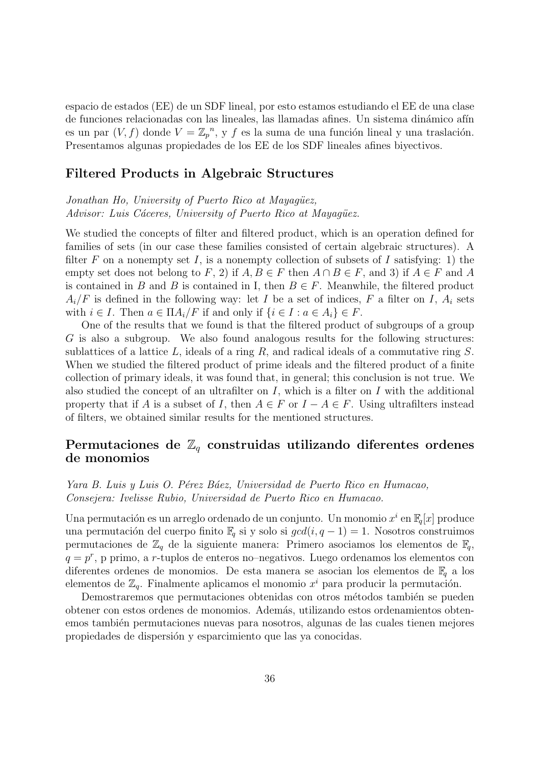espacio de estados (EE) de un SDF lineal, por esto estamos estudiando el EE de una clase de funciones relacionadas con las lineales, las llamadas afines. Un sistema dinámico afín es un par  $(V, f)$  donde  $V = \mathbb{Z}_p^n$ , y f es la suma de una función lineal y una traslación. Presentamos algunas propiedades de los EE de los SDF lineales afines biyectivos.

#### Filtered Products in Algebraic Structures

Jonathan Ho, University of Puerto Rico at Mayaqüez, Advisor: Luis Cáceres, University of Puerto Rico at Mayagüez.

We studied the concepts of filter and filtered product, which is an operation defined for families of sets (in our case these families consisted of certain algebraic structures). A filter F on a nonempty set I, is a nonempty collection of subsets of I satisfying: 1) the empty set does not belong to F, 2) if  $A, B \in F$  then  $A \cap B \in F$ , and 3) if  $A \in F$  and A is contained in B and B is contained in I, then  $B \in F$ . Meanwhile, the filtered product  $A_i/F$  is defined in the following way: let I be a set of indices, F a filter on I,  $A_i$  sets with  $i \in I$ . Then  $a \in \Pi A_i/F$  if and only if  $\{i \in I : a \in A_i\} \in F$ .

One of the results that we found is that the filtered product of subgroups of a group G is also a subgroup. We also found analogous results for the following structures: sublattices of a lattice  $L$ , ideals of a ring  $R$ , and radical ideals of a commutative ring  $S$ . When we studied the filtered product of prime ideals and the filtered product of a finite collection of primary ideals, it was found that, in general; this conclusion is not true. We also studied the concept of an ultrafilter on  $I$ , which is a filter on  $I$  with the additional property that if A is a subset of I, then  $A \in F$  or  $I - A \in F$ . Using ultrafilters instead of filters, we obtained similar results for the mentioned structures.

## Permutaciones de  $\mathbb{Z}_q$  construidas utilizando diferentes ordenes de monomios

Yara B. Luis y Luis O. Pérez Báez, Universidad de Puerto Rico en Humacao, Consejera: Ivelisse Rubio, Universidad de Puerto Rico en Humacao.

Una permutación es un arreglo ordenado de un conjunto. Un monomio  $x^i$  en  $\mathbb{F}_q[x]$  produce una permutación del cuerpo finito  $\mathbb{F}_q$  si y solo si  $gcd(i, q - 1) = 1$ . Nosotros construimos permutaciones de  $\mathbb{Z}_q$  de la siguiente manera: Primero asociamos los elementos de  $\mathbb{F}_q$ ,  $q = p^r$ , p primo, a r-tuplos de enteros no-negativos. Luego ordenamos los elementos con diferentes ordenes de monomios. De esta manera se asocian los elementos de  $\mathbb{F}_q$  a los elementos de  $\mathbb{Z}_q$ . Finalmente aplicamos el monomio  $x^i$  para producir la permutación.

Demostraremos que permutaciones obtenidas con otros métodos también se pueden obtener con estos ordenes de monomios. Adem´as, utilizando estos ordenamientos obtenemos también permutaciones nuevas para nosotros, algunas de las cuales tienen mejores propiedades de dispersión y esparcimiento que las ya conocidas.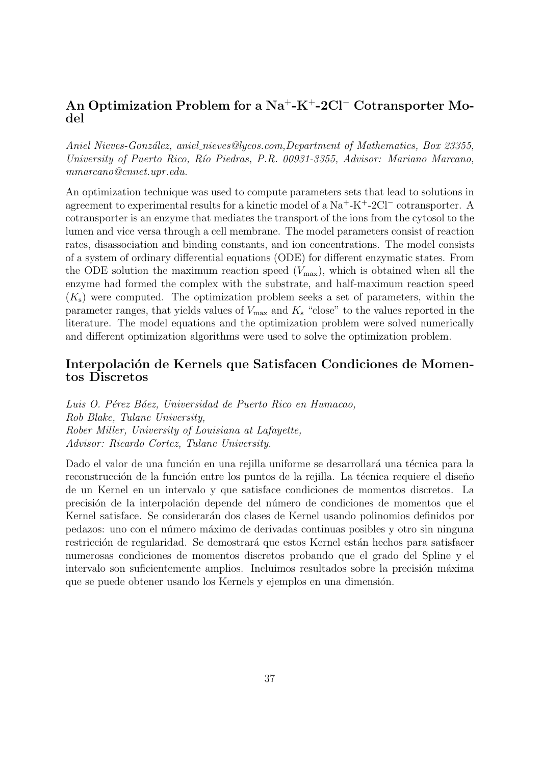## An Optimization Problem for a Na<sup>+</sup>-K<sup>+</sup>-2Cl<sup>−</sup> Cotransporter Model

Aniel Nieves-González, aniel\_nieves@lycos.com,Department of Mathematics, Box 23355, University of Puerto Rico, Río Piedras, P.R. 00931-3355, Advisor: Mariano Marcano, mmarcano@cnnet.upr.edu.

An optimization technique was used to compute parameters sets that lead to solutions in agreement to experimental results for a kinetic model of a Na<sup>+</sup>-K<sup>+</sup>-2Cl<sup>−</sup> cotransporter. A cotransporter is an enzyme that mediates the transport of the ions from the cytosol to the lumen and vice versa through a cell membrane. The model parameters consist of reaction rates, disassociation and binding constants, and ion concentrations. The model consists of a system of ordinary differential equations (ODE) for different enzymatic states. From the ODE solution the maximum reaction speed  $(V_{\text{max}})$ , which is obtained when all the enzyme had formed the complex with the substrate, and half-maximum reaction speed  $(K<sub>s</sub>)$  were computed. The optimization problem seeks a set of parameters, within the parameter ranges, that yields values of  $V_{\text{max}}$  and  $K_{\text{s}}$  "close" to the values reported in the literature. The model equations and the optimization problem were solved numerically and different optimization algorithms were used to solve the optimization problem.

## Interpolación de Kernels que Satisfacen Condiciones de Momentos Discretos

Luis O. Pérez Báez, Universidad de Puerto Rico en Humacao, Rob Blake, Tulane University, Rober Miller, University of Louisiana at Lafayette, Advisor: Ricardo Cortez, Tulane University.

Dado el valor de una función en una rejilla uniforme se desarrollará una técnica para la reconstrucción de la función entre los puntos de la rejilla. La técnica requiere el diseño de un Kernel en un intervalo y que satisface condiciones de momentos discretos. La precisión de la interpolación depende del número de condiciones de momentos que el Kernel satisface. Se considerarán dos clases de Kernel usando polinomios definidos por pedazos: uno con el n´umero m´aximo de derivadas continuas posibles y otro sin ninguna restricción de regularidad. Se demostrará que estos Kernel están hechos para satisfacer numerosas condiciones de momentos discretos probando que el grado del Spline y el intervalo son suficientemente amplios. Incluimos resultados sobre la precisión máxima que se puede obtener usando los Kernels y ejemplos en una dimensión.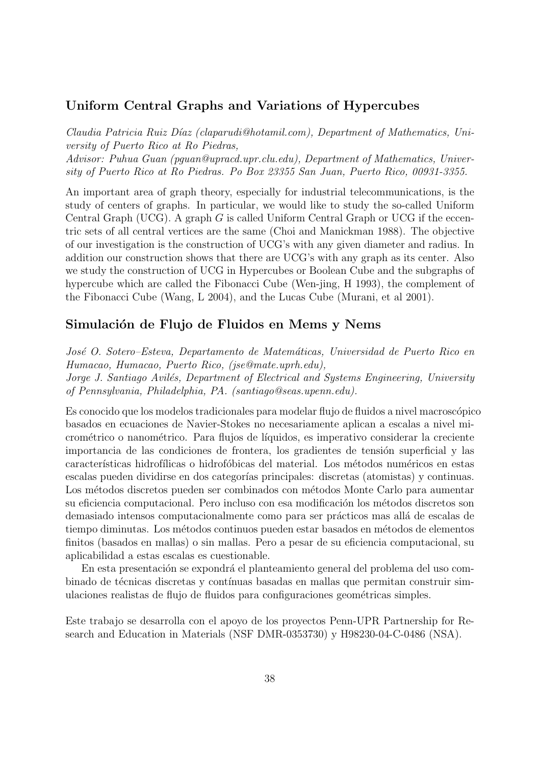#### Uniform Central Graphs and Variations of Hypercubes

Claudia Patricia Ruiz Díaz (claparudi@hotamil.com), Department of Mathematics, University of Puerto Rico at Ro Piedras, Advisor: Puhua Guan (pguan@upracd.upr.clu.edu), Department of Mathematics, University of Puerto Rico at Ro Piedras. Po Box 23355 San Juan, Puerto Rico, 00931-3355.

An important area of graph theory, especially for industrial telecommunications, is the study of centers of graphs. In particular, we would like to study the so-called Uniform Central Graph (UCG). A graph G is called Uniform Central Graph or UCG if the eccentric sets of all central vertices are the same (Choi and Manickman 1988). The objective of our investigation is the construction of UCG's with any given diameter and radius. In addition our construction shows that there are UCG's with any graph as its center. Also we study the construction of UCG in Hypercubes or Boolean Cube and the subgraphs of hypercube which are called the Fibonacci Cube (Wen-jing, H 1993), the complement of the Fibonacci Cube (Wang, L 2004), and the Lucas Cube (Murani, et al 2001).

#### Simulación de Flujo de Fluidos en Mems y Nems

José O. Sotero–Esteva, Departamento de Matemáticas, Universidad de Puerto Rico en Humacao, Humacao, Puerto Rico, (jse@mate.uprh.edu), Jorge J. Santiago Avilés, Department of Electrical and Systems Engineering, University of Pennsylvania, Philadelphia, PA. (santiago@seas.upenn.edu).

Es conocido que los modelos tradicionales para modelar flujo de fluidos a nivel macrosc´opico basados en ecuaciones de Navier-Stokes no necesariamente aplican a escalas a nivel micrométrico o nanométrico. Para flujos de líquidos, es imperativo considerar la creciente importancia de las condiciones de frontera, los gradientes de tensión superficial y las características hidrofílicas o hidrofóbicas del material. Los métodos numéricos en estas escalas pueden dividirse en dos categorías principales: discretas (atomistas) y continuas. Los métodos discretos pueden ser combinados con métodos Monte Carlo para aumentar su eficiencia computacional. Pero incluso con esa modificación los métodos discretos son demasiado intensos computacionalmente como para ser prácticos mas allá de escalas de tiempo diminutas. Los métodos continuos pueden estar basados en métodos de elementos finitos (basados en mallas) o sin mallas. Pero a pesar de su eficiencia computacional, su aplicabilidad a estas escalas es cuestionable.

En esta presentación se expondrá el planteamiento general del problema del uso combinado de técnicas discretas y contínuas basadas en mallas que permitan construir simulaciones realistas de flujo de fluidos para configuraciones geométricas simples.

Este trabajo se desarrolla con el apoyo de los proyectos Penn-UPR Partnership for Research and Education in Materials (NSF DMR-0353730) y H98230-04-C-0486 (NSA).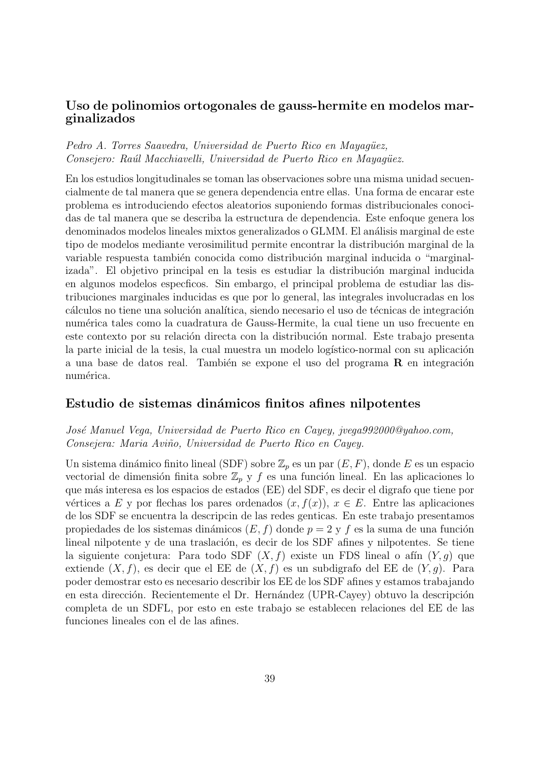## Uso de polinomios ortogonales de gauss-hermite en modelos marginalizados

#### Pedro A. Torres Saavedra, Universidad de Puerto Rico en Mayagüez, Consejero: Raúl Macchiavelli, Universidad de Puerto Rico en Mayagüez.

En los estudios longitudinales se toman las observaciones sobre una misma unidad secuencialmente de tal manera que se genera dependencia entre ellas. Una forma de encarar este problema es introduciendo efectos aleatorios suponiendo formas distribucionales conocidas de tal manera que se describa la estructura de dependencia. Este enfoque genera los denominados modelos lineales mixtos generalizados o GLMM. El análisis marginal de este tipo de modelos mediante verosimilitud permite encontrar la distribución marginal de la variable respuesta también conocida como distribución marginal inducida o "marginalizada". El objetivo principal en la tesis es estudiar la distribución marginal inducida en algunos modelos especficos. Sin embargo, el principal problema de estudiar las distribuciones marginales inducidas es que por lo general, las integrales involucradas en los cálculos no tiene una solución analítica, siendo necesario el uso de técnicas de integración numérica tales como la cuadratura de Gauss-Hermite, la cual tiene un uso frecuente en este contexto por su relación directa con la distribución normal. Este trabajo presenta la parte inicial de la tesis, la cual muestra un modelo logístico-normal con su aplicación a una base de datos real. También se expone el uso del programa  $\bf{R}$  en integración numérica.

#### Estudio de sistemas dinámicos finitos afines nilpotentes

#### Jos´e Manuel Vega, Universidad de Puerto Rico en Cayey, jvega992000@yahoo.com, Consejera: Maria Aviño, Universidad de Puerto Rico en Cayey.

Un sistema dinámico finito lineal (SDF) sobre  $\mathbb{Z}_p$  es un par  $(E, F)$ , donde E es un espacio vectorial de dimensión finita sobre  $\mathbb{Z}_p$  y f es una función lineal. En las aplicaciones lo que m´as interesa es los espacios de estados (EE) del SDF, es decir el digrafo que tiene por vértices a E y por flechas los pares ordenados  $(x, f(x))$ ,  $x \in E$ . Entre las aplicaciones de los SDF se encuentra la descripcin de las redes genticas. En este trabajo presentamos propiedades de los sistemas dinámicos  $(E, f)$  donde  $p = 2$  y f es la suma de una función lineal nilpotente y de una traslación, es decir de los  $SDF$  afines y nilpotentes. Se tiene la siguiente conjetura: Para todo SDF  $(X, f)$  existe un FDS lineal o afín  $(Y, g)$  que extiende  $(X, f)$ , es decir que el EE de  $(X, f)$  es un subdigrafo del EE de  $(Y, g)$ . Para poder demostrar esto es necesario describir los EE de los SDF afines y estamos trabajando en esta dirección. Recientemente el Dr. Hernández (UPR-Cayey) obtuvo la descripción completa de un SDFL, por esto en este trabajo se establecen relaciones del EE de las funciones lineales con el de las afines.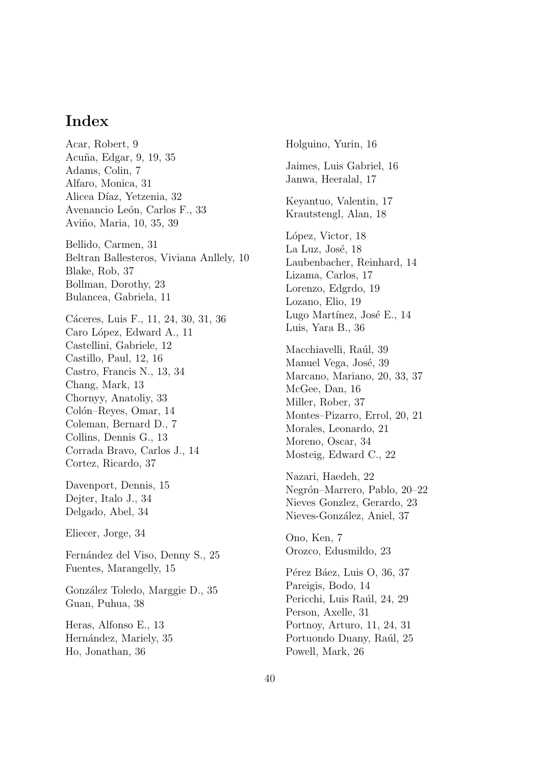# Index

Acar, Robert, 9 Acu˜na, Edgar, 9, 19, 35 Adams, Colin, 7 Alfaro, Monica, 31 Alicea Díaz, Yetzenia, 32 Avenancio León, Carlos F., 33 Aviño, Maria, 10, 35, 39 Bellido, Carmen, 31 Beltran Ballesteros, Viviana Anllely, 10 Blake, Rob, 37 Bollman, Dorothy, 23 Bulancea, Gabriela, 11 Cáceres, Luis F., 11, 24, 30, 31, 36 Caro López, Edward A., 11 Castellini, Gabriele, 12 Castillo, Paul, 12, 16 Castro, Francis N., 13, 34 Chang, Mark, 13 Chornyy, Anatoliy, 33 Colón–Reyes, Omar, 14 Coleman, Bernard D., 7 Collins, Dennis G., 13 Corrada Bravo, Carlos J., 14 Cortez, Ricardo, 37 Davenport, Dennis, 15 Dejter, Italo J., 34 Delgado, Abel, 34 Eliecer, Jorge, 34 Fernández del Viso, Denny S., 25 Fuentes, Marangelly, 15 González Toledo, Marggie D., 35 Guan, Puhua, 38 Heras, Alfonso E., 13 Hernández, Mariely, 35 Ho, Jonathan, 36

Holguino, Yurin, 16 Jaimes, Luis Gabriel, 16 Janwa, Heeralal, 17 Keyantuo, Valentin, 17 Krautstengl, Alan, 18 López, Victor, 18 La Luz, José, 18 Laubenbacher, Reinhard, 14 Lizama, Carlos, 17 Lorenzo, Edgrdo, 19 Lozano, Elio, 19 Lugo Martínez, José E., 14 Luis, Yara B., 36 Macchiavelli, Raúl, 39 Manuel Vega, José, 39 Marcano, Mariano, 20, 33, 37 McGee, Dan, 16 Miller, Rober, 37 Montes–Pizarro, Errol, 20, 21 Morales, Leonardo, 21 Moreno, Oscar, 34 Mosteig, Edward C., 22 Nazari, Haedeh, 22 Negrón–Marrero, Pablo, 20–22 Nieves Gonzlez, Gerardo, 23 Nieves-González, Aniel, 37 Ono, Ken, 7 Orozco, Edusmildo, 23 Pérez Báez, Luis O, 36, 37 Pareigis, Bodo, 14 Pericchi, Luis Raúl, 24, 29 Person, Axelle, 31 Portnoy, Arturo, 11, 24, 31 Portuondo Duany, Raúl, 25 Powell, Mark, 26